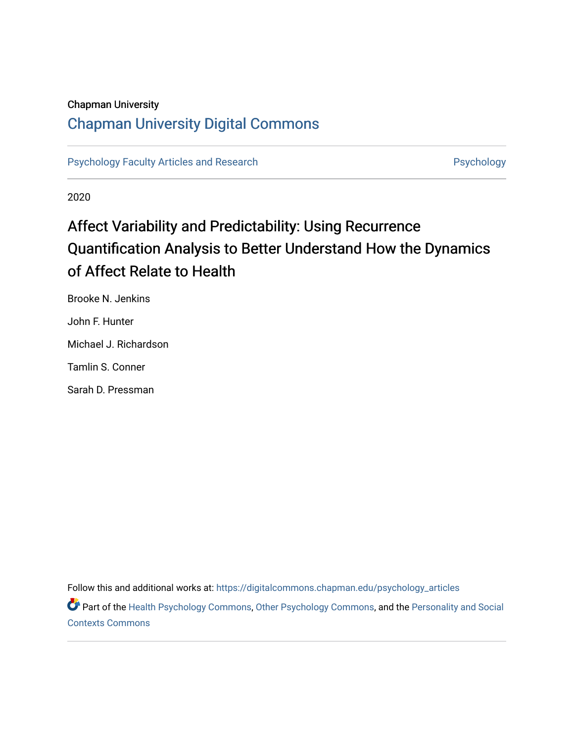# Chapman University

# [Chapman University Digital Commons](https://digitalcommons.chapman.edu/)

[Psychology Faculty Articles and Research](https://digitalcommons.chapman.edu/psychology_articles) **Psychology** Psychology

2020

# Affect Variability and Predictability: Using Recurrence Quantification Analysis to Better Understand How the Dynamics of Affect Relate to Health

Brooke N. Jenkins John F. Hunter Michael J. Richardson Tamlin S. Conner

Sarah D. Pressman

Follow this and additional works at: [https://digitalcommons.chapman.edu/psychology\\_articles](https://digitalcommons.chapman.edu/psychology_articles?utm_source=digitalcommons.chapman.edu%2Fpsychology_articles%2F209&utm_medium=PDF&utm_campaign=PDFCoverPages)

Part of the [Health Psychology Commons](http://network.bepress.com/hgg/discipline/411?utm_source=digitalcommons.chapman.edu%2Fpsychology_articles%2F209&utm_medium=PDF&utm_campaign=PDFCoverPages), [Other Psychology Commons](http://network.bepress.com/hgg/discipline/415?utm_source=digitalcommons.chapman.edu%2Fpsychology_articles%2F209&utm_medium=PDF&utm_campaign=PDFCoverPages), and the [Personality and Social](http://network.bepress.com/hgg/discipline/413?utm_source=digitalcommons.chapman.edu%2Fpsychology_articles%2F209&utm_medium=PDF&utm_campaign=PDFCoverPages)  [Contexts Commons](http://network.bepress.com/hgg/discipline/413?utm_source=digitalcommons.chapman.edu%2Fpsychology_articles%2F209&utm_medium=PDF&utm_campaign=PDFCoverPages)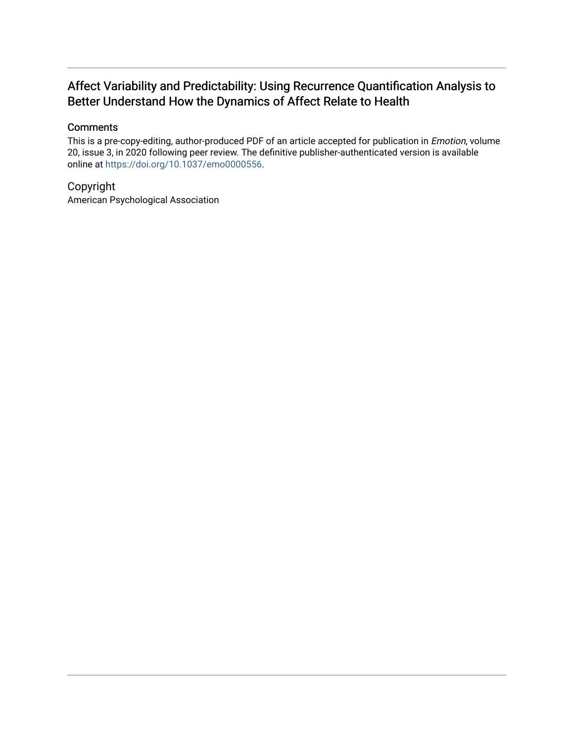# Affect Variability and Predictability: Using Recurrence Quantification Analysis to Better Understand How the Dynamics of Affect Relate to Health

## **Comments**

This is a pre-copy-editing, author-produced PDF of an article accepted for publication in Emotion, volume 20, issue 3, in 2020 following peer review. The definitive publisher-authenticated version is available online at [https://doi.org/10.1037/emo0000556.](https://doi.org/10.1037/emo0000556)

# Copyright

American Psychological Association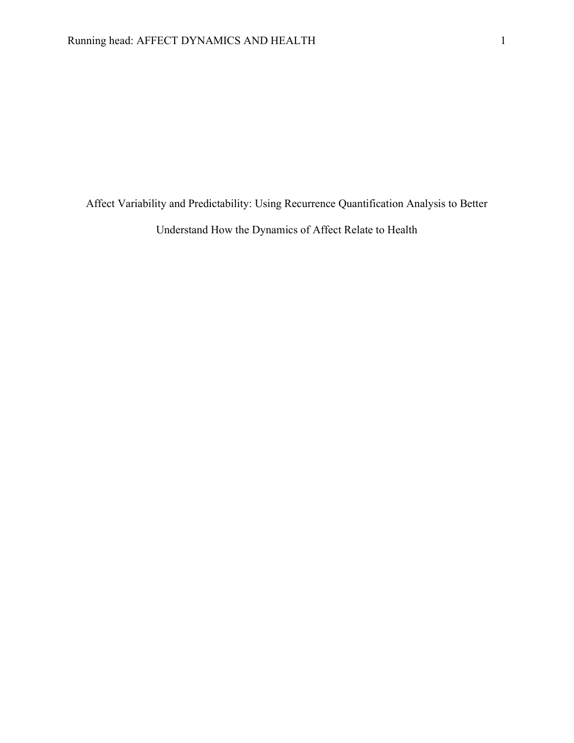Affect Variability and Predictability: Using Recurrence Quantification Analysis to Better Understand How the Dynamics of Affect Relate to Health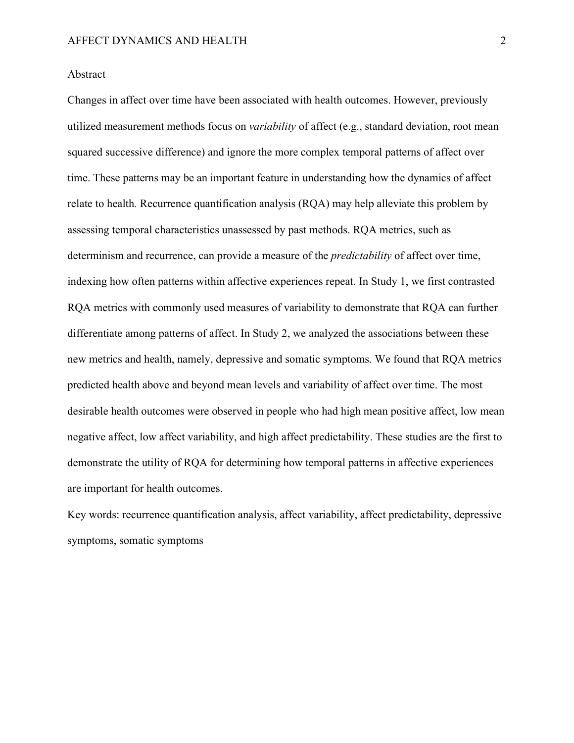#### Abstract

Changes in affect over time have been associated with health outcomes. However, previously utilized measurement methods focus on *variability* of affect (e.g., standard deviation, root mean squared successive difference) and ignore the more complex temporal patterns of affect over time. These patterns may be an important feature in understanding how the dynamics of affect relate to health*.* Recurrence quantification analysis (RQA) may help alleviate this problem by assessing temporal characteristics unassessed by past methods. RQA metrics, such as determinism and recurrence, can provide a measure of the *predictability* of affect over time, indexing how often patterns within affective experiences repeat. In Study 1, we first contrasted RQA metrics with commonly used measures of variability to demonstrate that RQA can further differentiate among patterns of affect. In Study 2, we analyzed the associations between these new metrics and health, namely, depressive and somatic symptoms. We found that RQA metrics predicted health above and beyond mean levels and variability of affect over time. The most desirable health outcomes were observed in people who had high mean positive affect, low mean negative affect, low affect variability, and high affect predictability. These studies are the first to demonstrate the utility of RQA for determining how temporal patterns in affective experiences are important for health outcomes.

Key words: recurrence quantification analysis, affect variability, affect predictability, depressive symptoms, somatic symptoms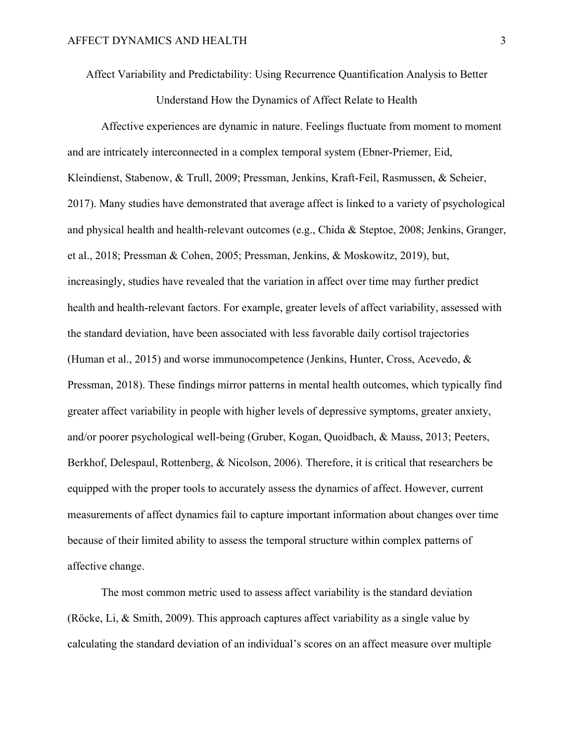Affect Variability and Predictability: Using Recurrence Quantification Analysis to Better

Understand How the Dynamics of Affect Relate to Health

Affective experiences are dynamic in nature. Feelings fluctuate from moment to moment and are intricately interconnected in a complex temporal system (Ebner-Priemer, Eid, Kleindienst, Stabenow, & Trull, 2009; Pressman, Jenkins, Kraft-Feil, Rasmussen, & Scheier, 2017). Many studies have demonstrated that average affect is linked to a variety of psychological and physical health and health-relevant outcomes (e.g., Chida & Steptoe, 2008; Jenkins, Granger, et al., 2018; Pressman & Cohen, 2005; Pressman, Jenkins, & Moskowitz, 2019), but, increasingly, studies have revealed that the variation in affect over time may further predict health and health-relevant factors. For example, greater levels of affect variability, assessed with the standard deviation, have been associated with less favorable daily cortisol trajectories (Human et al., 2015) and worse immunocompetence (Jenkins, Hunter, Cross, Acevedo, & Pressman, 2018). These findings mirror patterns in mental health outcomes, which typically find greater affect variability in people with higher levels of depressive symptoms, greater anxiety, and/or poorer psychological well-being (Gruber, Kogan, Quoidbach, & Mauss, 2013; Peeters, Berkhof, Delespaul, Rottenberg, & Nicolson, 2006). Therefore, it is critical that researchers be equipped with the proper tools to accurately assess the dynamics of affect. However, current measurements of affect dynamics fail to capture important information about changes over time because of their limited ability to assess the temporal structure within complex patterns of affective change.

The most common metric used to assess affect variability is the standard deviation (Röcke, Li, & Smith, 2009). This approach captures affect variability as a single value by calculating the standard deviation of an individual's scores on an affect measure over multiple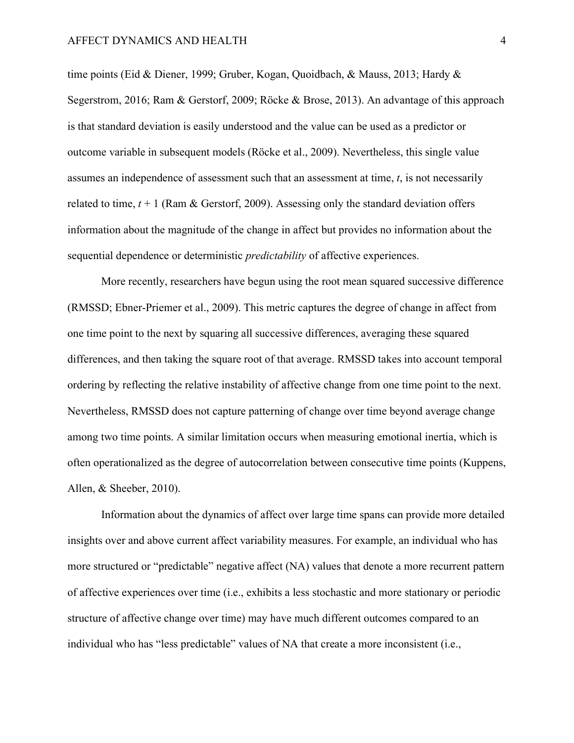time points (Eid & Diener, 1999; Gruber, Kogan, Quoidbach, & Mauss, 2013; Hardy & Segerstrom, 2016; Ram & Gerstorf, 2009; Röcke & Brose, 2013). An advantage of this approach is that standard deviation is easily understood and the value can be used as a predictor or outcome variable in subsequent models (Röcke et al., 2009). Nevertheless, this single value assumes an independence of assessment such that an assessment at time, *t*, is not necessarily related to time,  $t + 1$  (Ram & Gerstorf, 2009). Assessing only the standard deviation offers information about the magnitude of the change in affect but provides no information about the sequential dependence or deterministic *predictability* of affective experiences.

More recently, researchers have begun using the root mean squared successive difference (RMSSD; Ebner-Priemer et al., 2009). This metric captures the degree of change in affect from one time point to the next by squaring all successive differences, averaging these squared differences, and then taking the square root of that average. RMSSD takes into account temporal ordering by reflecting the relative instability of affective change from one time point to the next. Nevertheless, RMSSD does not capture patterning of change over time beyond average change among two time points. A similar limitation occurs when measuring emotional inertia, which is often operationalized as the degree of autocorrelation between consecutive time points (Kuppens, Allen, & Sheeber, 2010).

Information about the dynamics of affect over large time spans can provide more detailed insights over and above current affect variability measures. For example, an individual who has more structured or "predictable" negative affect (NA) values that denote a more recurrent pattern of affective experiences over time (i.e., exhibits a less stochastic and more stationary or periodic structure of affective change over time) may have much different outcomes compared to an individual who has "less predictable" values of NA that create a more inconsistent (i.e.,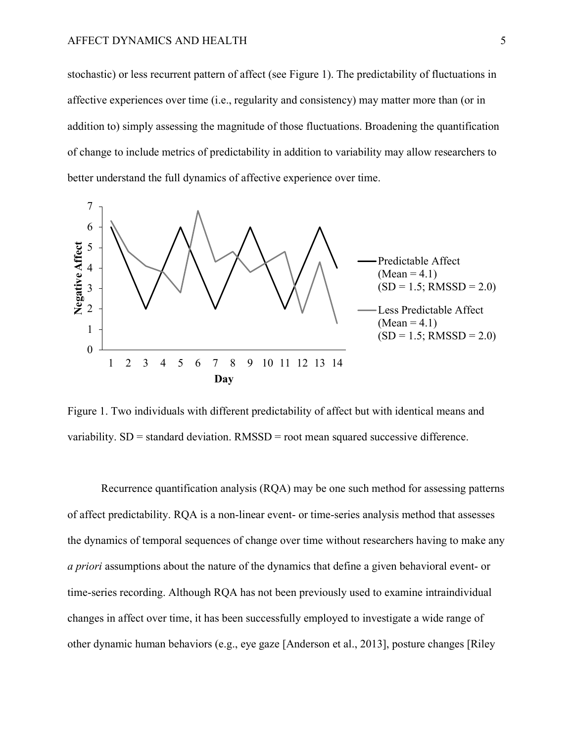stochastic) or less recurrent pattern of affect (see Figure 1). The predictability of fluctuations in affective experiences over time (i.e., regularity and consistency) may matter more than (or in addition to) simply assessing the magnitude of those fluctuations. Broadening the quantification of change to include metrics of predictability in addition to variability may allow researchers to better understand the full dynamics of affective experience over time.



Figure 1. Two individuals with different predictability of affect but with identical means and variability.  $SD =$  standard deviation.  $RMSSD =$  root mean squared successive difference.

Recurrence quantification analysis (RQA) may be one such method for assessing patterns of affect predictability. RQA is a non-linear event- or time-series analysis method that assesses the dynamics of temporal sequences of change over time without researchers having to make any *a priori* assumptions about the nature of the dynamics that define a given behavioral event- or time-series recording. Although RQA has not been previously used to examine intraindividual changes in affect over time, it has been successfully employed to investigate a wide range of other dynamic human behaviors (e.g., eye gaze [Anderson et al., 2013], posture changes [Riley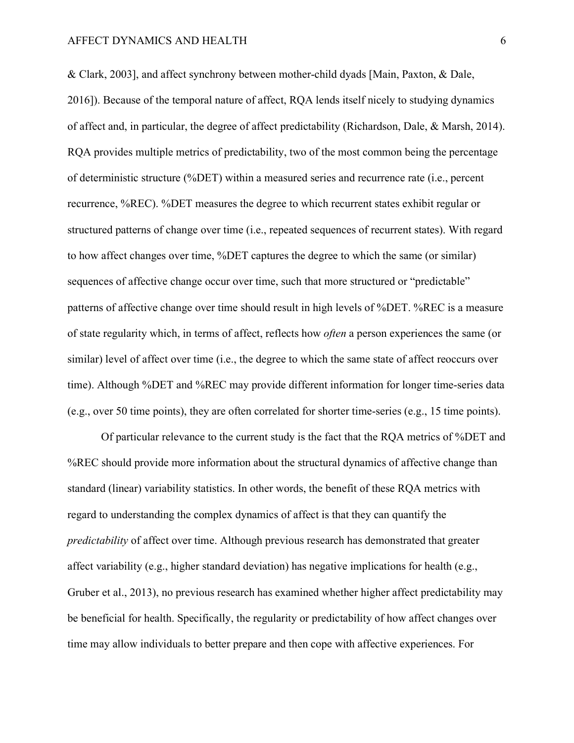& Clark, 2003], and affect synchrony between mother-child dyads [Main, Paxton, & Dale, 2016]). Because of the temporal nature of affect, RQA lends itself nicely to studying dynamics of affect and, in particular, the degree of affect predictability (Richardson, Dale, & Marsh, 2014). RQA provides multiple metrics of predictability, two of the most common being the percentage of deterministic structure (%DET) within a measured series and recurrence rate (i.e., percent recurrence, %REC). %DET measures the degree to which recurrent states exhibit regular or structured patterns of change over time (i.e., repeated sequences of recurrent states). With regard to how affect changes over time, %DET captures the degree to which the same (or similar) sequences of affective change occur over time, such that more structured or "predictable" patterns of affective change over time should result in high levels of %DET. %REC is a measure of state regularity which, in terms of affect, reflects how *often* a person experiences the same (or similar) level of affect over time (i.e., the degree to which the same state of affect reoccurs over time). Although %DET and %REC may provide different information for longer time-series data (e.g., over 50 time points), they are often correlated for shorter time-series (e.g., 15 time points).

Of particular relevance to the current study is the fact that the RQA metrics of %DET and %REC should provide more information about the structural dynamics of affective change than standard (linear) variability statistics. In other words, the benefit of these RQA metrics with regard to understanding the complex dynamics of affect is that they can quantify the *predictability* of affect over time. Although previous research has demonstrated that greater affect variability (e.g., higher standard deviation) has negative implications for health (e.g., Gruber et al., 2013), no previous research has examined whether higher affect predictability may be beneficial for health. Specifically, the regularity or predictability of how affect changes over time may allow individuals to better prepare and then cope with affective experiences. For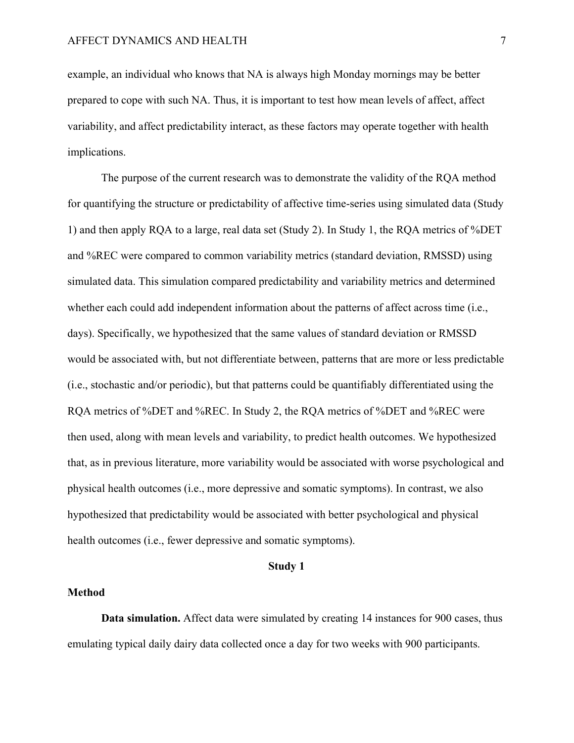example, an individual who knows that NA is always high Monday mornings may be better prepared to cope with such NA. Thus, it is important to test how mean levels of affect, affect variability, and affect predictability interact, as these factors may operate together with health implications.

The purpose of the current research was to demonstrate the validity of the RQA method for quantifying the structure or predictability of affective time-series using simulated data (Study 1) and then apply RQA to a large, real data set (Study 2). In Study 1, the RQA metrics of %DET and %REC were compared to common variability metrics (standard deviation, RMSSD) using simulated data. This simulation compared predictability and variability metrics and determined whether each could add independent information about the patterns of affect across time (i.e., days). Specifically, we hypothesized that the same values of standard deviation or RMSSD would be associated with, but not differentiate between, patterns that are more or less predictable (i.e., stochastic and/or periodic), but that patterns could be quantifiably differentiated using the RQA metrics of %DET and %REC. In Study 2, the RQA metrics of %DET and %REC were then used, along with mean levels and variability, to predict health outcomes. We hypothesized that, as in previous literature, more variability would be associated with worse psychological and physical health outcomes (i.e., more depressive and somatic symptoms). In contrast, we also hypothesized that predictability would be associated with better psychological and physical health outcomes (i.e., fewer depressive and somatic symptoms).

#### **Study 1**

#### **Method**

**Data simulation.** Affect data were simulated by creating 14 instances for 900 cases, thus emulating typical daily dairy data collected once a day for two weeks with 900 participants.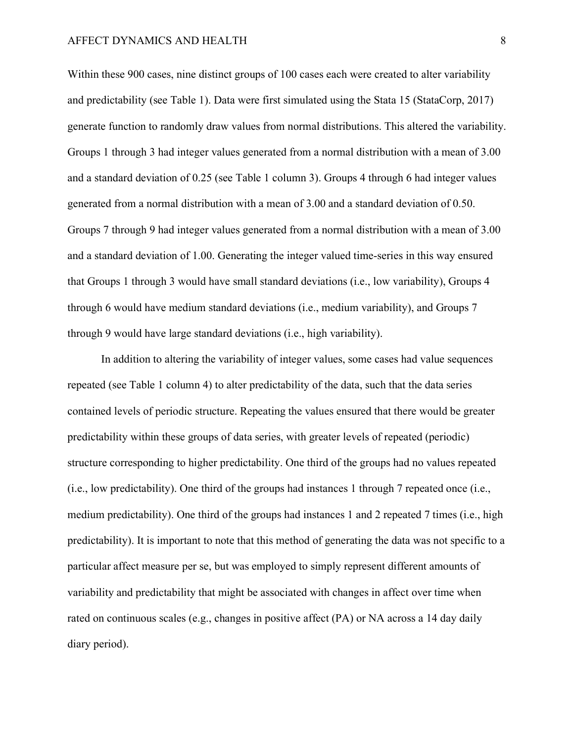Within these 900 cases, nine distinct groups of 100 cases each were created to alter variability and predictability (see Table 1). Data were first simulated using the Stata 15 (StataCorp, 2017) generate function to randomly draw values from normal distributions. This altered the variability. Groups 1 through 3 had integer values generated from a normal distribution with a mean of 3.00 and a standard deviation of 0.25 (see Table 1 column 3). Groups 4 through 6 had integer values generated from a normal distribution with a mean of 3.00 and a standard deviation of 0.50. Groups 7 through 9 had integer values generated from a normal distribution with a mean of 3.00 and a standard deviation of 1.00. Generating the integer valued time-series in this way ensured that Groups 1 through 3 would have small standard deviations (i.e., low variability), Groups 4 through 6 would have medium standard deviations (i.e., medium variability), and Groups 7 through 9 would have large standard deviations (i.e., high variability).

In addition to altering the variability of integer values, some cases had value sequences repeated (see Table 1 column 4) to alter predictability of the data, such that the data series contained levels of periodic structure. Repeating the values ensured that there would be greater predictability within these groups of data series, with greater levels of repeated (periodic) structure corresponding to higher predictability. One third of the groups had no values repeated (i.e., low predictability). One third of the groups had instances 1 through 7 repeated once (i.e., medium predictability). One third of the groups had instances 1 and 2 repeated 7 times (i.e., high predictability). It is important to note that this method of generating the data was not specific to a particular affect measure per se, but was employed to simply represent different amounts of variability and predictability that might be associated with changes in affect over time when rated on continuous scales (e.g., changes in positive affect (PA) or NA across a 14 day daily diary period).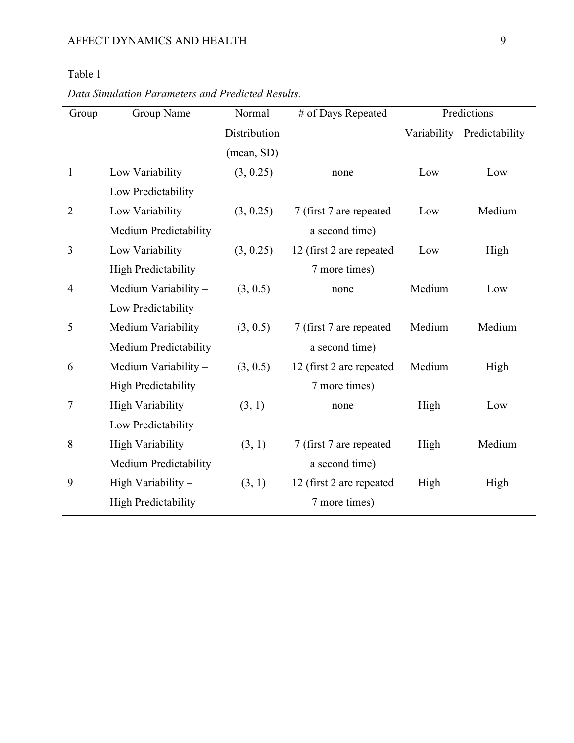# Table 1

| Group          | Group Name                   | Normal       | # of Days Repeated       |        | Predictions                |  |  |
|----------------|------------------------------|--------------|--------------------------|--------|----------------------------|--|--|
|                |                              | Distribution |                          |        | Variability Predictability |  |  |
|                |                              | (mean, SD)   |                          |        |                            |  |  |
| $\mathbf{1}$   | Low Variability -            | (3, 0.25)    | none                     | Low    | Low                        |  |  |
|                | Low Predictability           |              |                          |        |                            |  |  |
| $\overline{2}$ | Low Variability -            | (3, 0.25)    | 7 (first 7 are repeated  | Low    | Medium                     |  |  |
|                | <b>Medium Predictability</b> |              | a second time)           |        |                            |  |  |
| 3              | Low Variability -            | (3, 0.25)    | 12 (first 2 are repeated | Low    | High                       |  |  |
|                | <b>High Predictability</b>   |              | 7 more times)            |        |                            |  |  |
| $\overline{4}$ | Medium Variability -         | (3, 0.5)     | none                     | Medium | Low                        |  |  |
|                | Low Predictability           |              |                          |        |                            |  |  |
| 5              | Medium Variability -         | (3, 0.5)     | 7 (first 7 are repeated  | Medium | Medium                     |  |  |
|                | Medium Predictability        |              | a second time)           |        |                            |  |  |
| 6              | Medium Variability -         | (3, 0.5)     | 12 (first 2 are repeated | Medium | High                       |  |  |
|                | <b>High Predictability</b>   |              | 7 more times)            |        |                            |  |  |
| 7              | High Variability -           | (3, 1)       | none                     | High   | Low                        |  |  |
|                | Low Predictability           |              |                          |        |                            |  |  |
| 8              | High Variability -           | (3, 1)       | 7 (first 7 are repeated  | High   | Medium                     |  |  |
|                | Medium Predictability        |              | a second time)           |        |                            |  |  |
| 9              | High Variability -           | (3, 1)       | 12 (first 2 are repeated | High   | High                       |  |  |
|                | <b>High Predictability</b>   |              | 7 more times)            |        |                            |  |  |

*Data Simulation Parameters and Predicted Results.*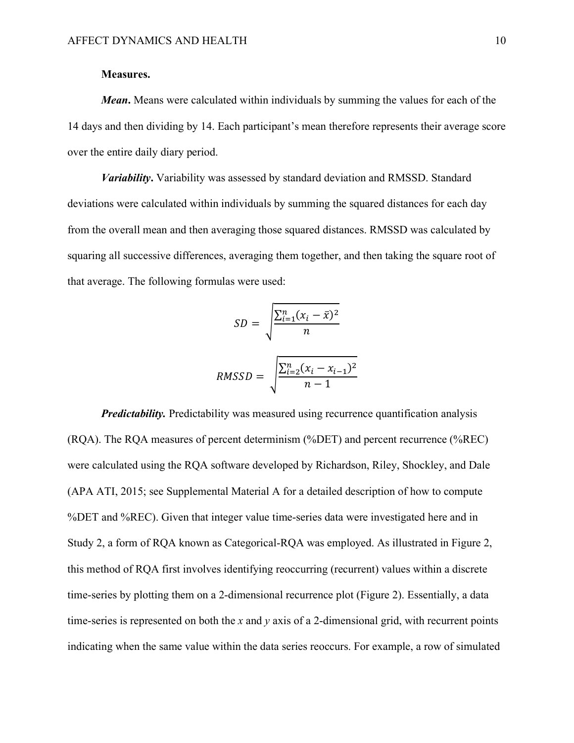#### **Measures.**

*Mean***.** Means were calculated within individuals by summing the values for each of the 14 days and then dividing by 14. Each participant's mean therefore represents their average score over the entire daily diary period.

*Variability***.** Variability was assessed by standard deviation and RMSSD. Standard deviations were calculated within individuals by summing the squared distances for each day from the overall mean and then averaging those squared distances. RMSSD was calculated by squaring all successive differences, averaging them together, and then taking the square root of that average. The following formulas were used:

$$
SD = \sqrt{\frac{\sum_{i=1}^{n} (x_i - \bar{x})^2}{n}}
$$
  
RMSSD = 
$$
\sqrt{\frac{\sum_{i=2}^{n} (x_i - x_{i-1})^2}{n-1}}
$$

*Predictability.* Predictability was measured using recurrence quantification analysis (RQA). The RQA measures of percent determinism (%DET) and percent recurrence (%REC) were calculated using the RQA software developed by Richardson, Riley, Shockley, and Dale (APA ATI, 2015; see Supplemental Material A for a detailed description of how to compute %DET and %REC). Given that integer value time-series data were investigated here and in Study 2, a form of RQA known as Categorical-RQA was employed. As illustrated in Figure 2, this method of RQA first involves identifying reoccurring (recurrent) values within a discrete time-series by plotting them on a 2-dimensional recurrence plot (Figure 2). Essentially, a data time-series is represented on both the *x* and *y* axis of a 2-dimensional grid, with recurrent points indicating when the same value within the data series reoccurs. For example, a row of simulated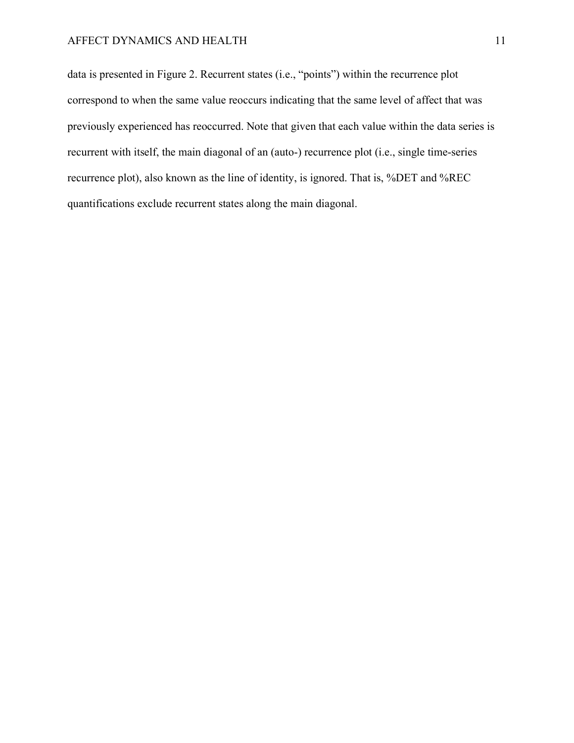data is presented in Figure 2. Recurrent states (i.e., "points") within the recurrence plot correspond to when the same value reoccurs indicating that the same level of affect that was previously experienced has reoccurred. Note that given that each value within the data series is recurrent with itself, the main diagonal of an (auto-) recurrence plot (i.e., single time-series recurrence plot), also known as the line of identity, is ignored. That is, %DET and %REC quantifications exclude recurrent states along the main diagonal.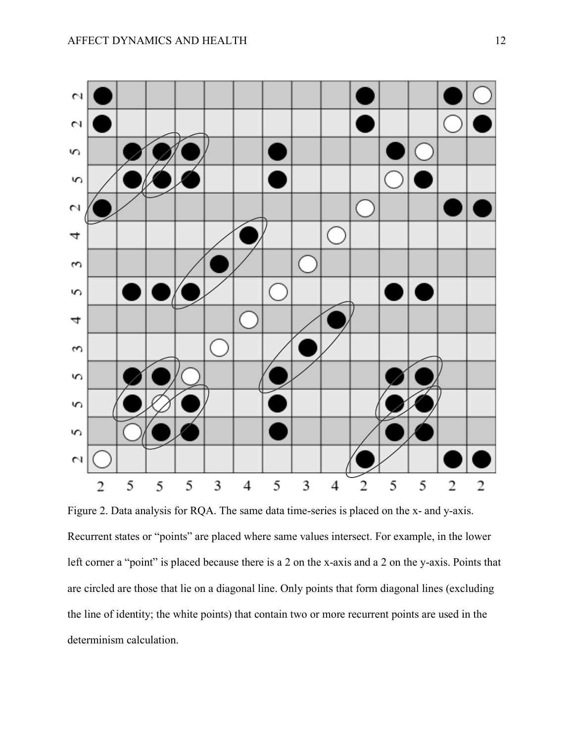

Figure 2. Data analysis for RQA. The same data time-series is placed on the x- and y-axis. Recurrent states or "points" are placed where same values intersect. For example, in the lower left corner a "point" is placed because there is a 2 on the x-axis and a 2 on the y-axis. Points that are circled are those that lie on a diagonal line. Only points that form diagonal lines (excluding the line of identity; the white points) that contain two or more recurrent points are used in the determinism calculation.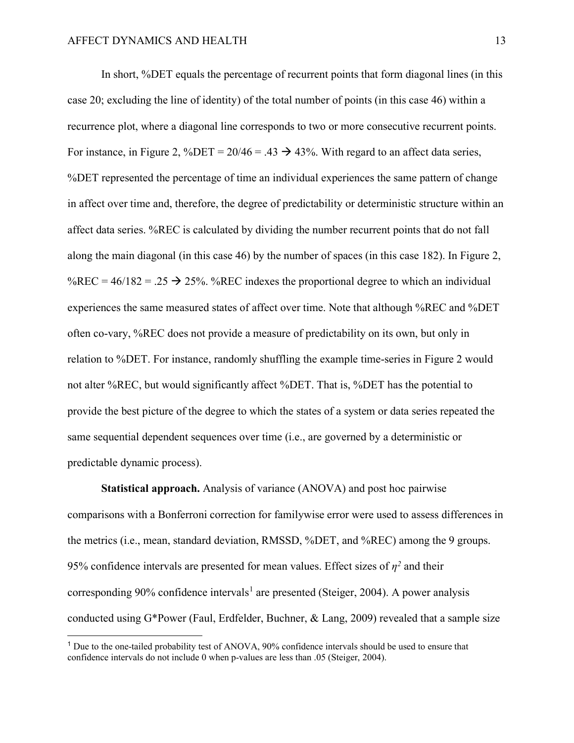In short, %DET equals the percentage of recurrent points that form diagonal lines (in this case 20; excluding the line of identity) of the total number of points (in this case 46) within a recurrence plot, where a diagonal line corresponds to two or more consecutive recurrent points. For instance, in Figure 2, %DET =  $20/46 = .43 \rightarrow 43\%$ . With regard to an affect data series, %DET represented the percentage of time an individual experiences the same pattern of change in affect over time and, therefore, the degree of predictability or deterministic structure within an affect data series. %REC is calculated by dividing the number recurrent points that do not fall along the main diagonal (in this case 46) by the number of spaces (in this case 182). In Figure 2, %REC =  $46/182 = .25 \rightarrow 25$ %. %REC indexes the proportional degree to which an individual experiences the same measured states of affect over time. Note that although %REC and %DET often co-vary, %REC does not provide a measure of predictability on its own, but only in relation to %DET. For instance, randomly shuffling the example time-series in Figure 2 would not alter %REC, but would significantly affect %DET. That is, %DET has the potential to provide the best picture of the degree to which the states of a system or data series repeated the same sequential dependent sequences over time (i.e., are governed by a deterministic or predictable dynamic process).

**Statistical approach.** Analysis of variance (ANOVA) and post hoc pairwise comparisons with a Bonferroni correction for familywise error were used to assess differences in the metrics (i.e., mean, standard deviation, RMSSD, %DET, and %REC) among the 9 groups. 95% confidence intervals are presented for mean values. Effect sizes of  $\eta^2$  and their corresponding 90% confidence intervals<sup>[1](#page-14-0)</sup> are presented (Steiger, 2004). A power analysis conducted using G\*Power (Faul, Erdfelder, Buchner, & Lang, 2009) revealed that a sample size

<span id="page-14-0"></span><sup>1</sup> Due to the one-tailed probability test of ANOVA, 90% confidence intervals should be used to ensure that confidence intervals do not include 0 when p-values are less than .05 (Steiger, 2004).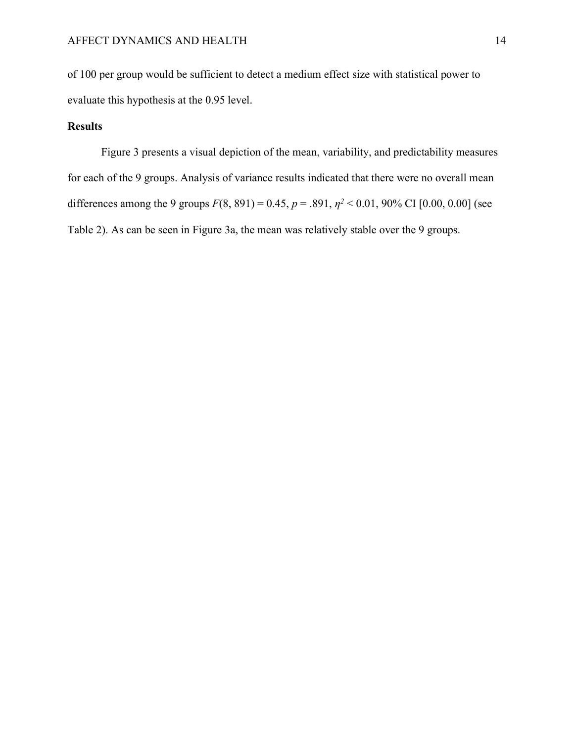of 100 per group would be sufficient to detect a medium effect size with statistical power to evaluate this hypothesis at the 0.95 level.

### **Results**

Figure 3 presents a visual depiction of the mean, variability, and predictability measures for each of the 9 groups. Analysis of variance results indicated that there were no overall mean differences among the 9 groups  $F(8, 891) = 0.45$ ,  $p = .891$ ,  $p^2 < 0.01$ , 90% CI [0.00, 0.00] (see Table 2). As can be seen in Figure 3a, the mean was relatively stable over the 9 groups.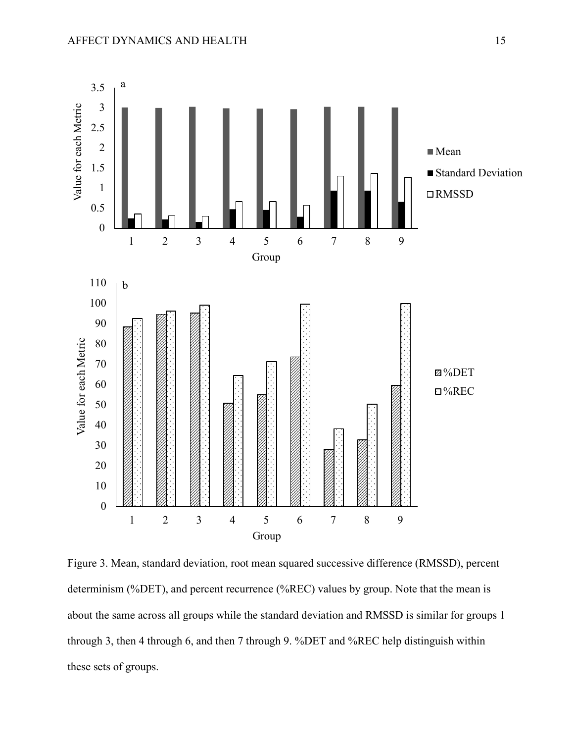

Figure 3. Mean, standard deviation, root mean squared successive difference (RMSSD), percent determinism (%DET), and percent recurrence (%REC) values by group. Note that the mean is about the same across all groups while the standard deviation and RMSSD is similar for groups 1 through 3, then 4 through 6, and then 7 through 9. %DET and %REC help distinguish within these sets of groups.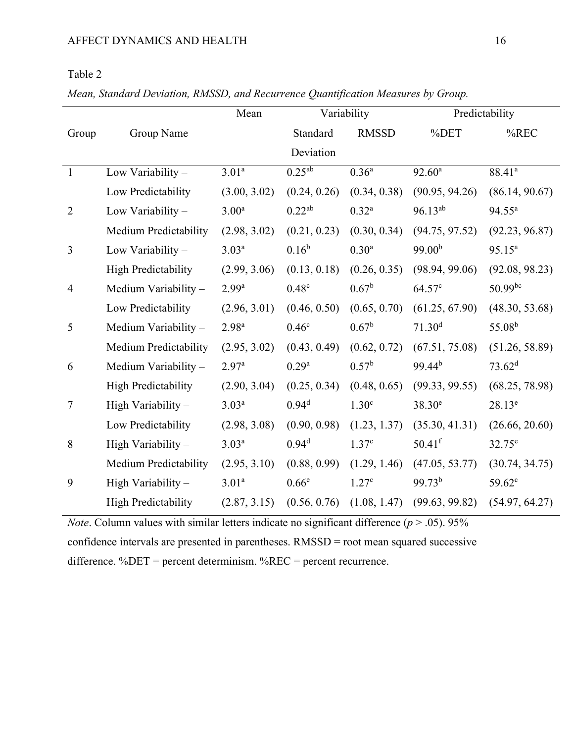# Table 2

*Mean, Standard Deviation, RMSSD, and Recurrence Quantification Measures by Group.*

|                |                            | Mean              |                   | Variability       | Predictability       |                    |  |
|----------------|----------------------------|-------------------|-------------------|-------------------|----------------------|--------------------|--|
| Group          | Group Name                 |                   | Standard          | <b>RMSSD</b>      | %DET                 | $%$ REC            |  |
|                |                            |                   | Deviation         |                   |                      |                    |  |
| $\mathbf{1}$   | Low Variability -          | 3.01 <sup>a</sup> | $0.25^{ab}$       | $0.36^{\rm a}$    | $92.60^{\rm a}$      | 88.41 <sup>a</sup> |  |
|                | Low Predictability         | (3.00, 3.02)      | (0.24, 0.26)      | (0.34, 0.38)      | (90.95, 94.26)       | (86.14, 90.67)     |  |
| $\overline{2}$ | Low Variability -          | 3.00 <sup>a</sup> | $0.22^{ab}$       | $0.32^{a}$        | $96.13^{ab}$         | $94.55^{\circ}$    |  |
|                | Medium Predictability      | (2.98, 3.02)      | (0.21, 0.23)      | (0.30, 0.34)      | (94.75, 97.52)       | (92.23, 96.87)     |  |
| 3              | Low Variability -          | $3.03^{a}$        | $0.16^{b}$        | 0.30 <sup>a</sup> | 99.00 <sup>b</sup>   | $95.15^a$          |  |
|                | <b>High Predictability</b> | (2.99, 3.06)      | (0.13, 0.18)      | (0.26, 0.35)      | (98.94, 99.06)       | (92.08, 98.23)     |  |
| $\overline{4}$ | Medium Variability -       | $2.99^{a}$        | 0.48 <sup>c</sup> | $0.67^{\rm b}$    | 64.57 <sup>c</sup>   | $50.99^{bc}$       |  |
|                | Low Predictability         | (2.96, 3.01)      | (0.46, 0.50)      | (0.65, 0.70)      | (61.25, 67.90)       | (48.30, 53.68)     |  |
| 5              | Medium Variability -       | 2.98 <sup>a</sup> | 0.46 <sup>c</sup> | $0.67^{\rm b}$    | 71.30 <sup>d</sup>   | 55.08 <sup>b</sup> |  |
|                | Medium Predictability      | (2.95, 3.02)      | (0.43, 0.49)      | (0.62, 0.72)      | (67.51, 75.08)       | (51.26, 58.89)     |  |
| 6              | Medium Variability -       | 2.97 <sup>a</sup> | $0.29^{a}$        | $0.57^{\rm b}$    | $99.44^{b}$          | 73.62 <sup>d</sup> |  |
|                | <b>High Predictability</b> | (2.90, 3.04)      | (0.25, 0.34)      | (0.48, 0.65)      | (99.33, 99.55)       | (68.25, 78.98)     |  |
| $\overline{7}$ | High Variability -         | $3.03^{a}$        | $0.94^d$          | 1.30 <sup>c</sup> | $38.30^e$            | $28.13^e$          |  |
|                | Low Predictability         | (2.98, 3.08)      | (0.90, 0.98)      | (1.23, 1.37)      | (35.30, 41.31)       | (26.66, 20.60)     |  |
| 8              | High Variability -         | $3.03^{a}$        | 0.94 <sup>d</sup> | 1.37 <sup>c</sup> | $50.41$ <sup>f</sup> | $32.75^{\circ}$    |  |
|                | Medium Predictability      | (2.95, 3.10)      | (0.88, 0.99)      | (1.29, 1.46)      | (47.05, 53.77)       | (30.74, 34.75)     |  |
| 9              | High Variability -         | 3.01 <sup>a</sup> | 0.66 <sup>e</sup> | 1.27 <sup>c</sup> | 99.73 <sup>b</sup>   | 59.62 <sup>c</sup> |  |
|                | <b>High Predictability</b> | (2.87, 3.15)      | (0.56, 0.76)      | (1.08, 1.47)      | (99.63, 99.82)       | (54.97, 64.27)     |  |

*Note*. Column values with similar letters indicate no significant difference  $(p > .05)$ . 95% confidence intervals are presented in parentheses. RMSSD = root mean squared successive difference. %DET = percent determinism. %REC = percent recurrence.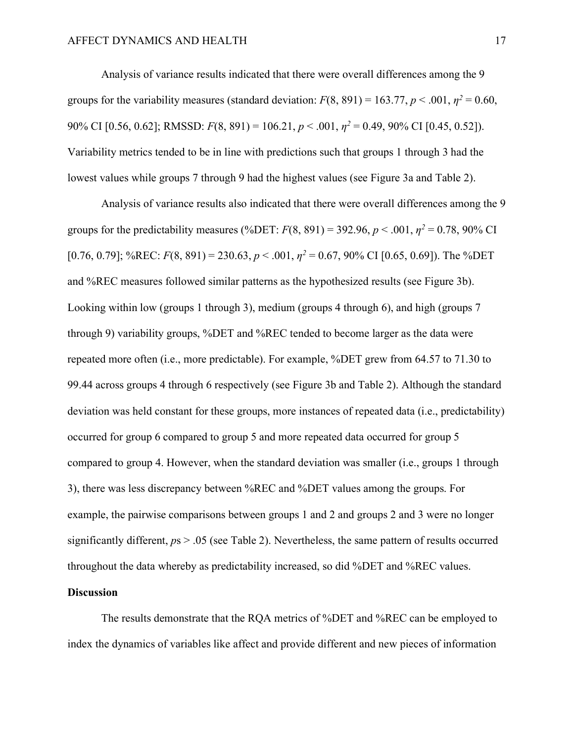Analysis of variance results indicated that there were overall differences among the 9 groups for the variability measures (standard deviation:  $F(8, 891) = 163.77$ ,  $p < .001$ ,  $p^2 = 0.60$ , 90% CI [0.56, 0.62]; RMSSD: *F*(8, 891) = 106.21, *p* < .001, *η<sup>2</sup>* = 0.49, 90% CI [0.45, 0.52]). Variability metrics tended to be in line with predictions such that groups 1 through 3 had the lowest values while groups 7 through 9 had the highest values (see Figure 3a and Table 2).

Analysis of variance results also indicated that there were overall differences among the 9 groups for the predictability measures (%DET:  $F(8, 891) = 392.96$ ,  $p < .001$ ,  $p^2 = 0.78$ , 90% CI [0.76, 0.79]; %REC:  $F(8, 891) = 230.63$ ,  $p < .001$ ,  $p^2 = 0.67$ , 90% CI [0.65, 0.69]). The %DET and %REC measures followed similar patterns as the hypothesized results (see Figure 3b). Looking within low (groups 1 through 3), medium (groups 4 through 6), and high (groups 7 through 9) variability groups, %DET and %REC tended to become larger as the data were repeated more often (i.e., more predictable). For example, %DET grew from 64.57 to 71.30 to 99.44 across groups 4 through 6 respectively (see Figure 3b and Table 2). Although the standard deviation was held constant for these groups, more instances of repeated data (i.e., predictability) occurred for group 6 compared to group 5 and more repeated data occurred for group 5 compared to group 4. However, when the standard deviation was smaller (i.e., groups 1 through 3), there was less discrepancy between %REC and %DET values among the groups. For example, the pairwise comparisons between groups 1 and 2 and groups 2 and 3 were no longer significantly different,  $p_s > .05$  (see Table 2). Nevertheless, the same pattern of results occurred throughout the data whereby as predictability increased, so did %DET and %REC values.

#### **Discussion**

The results demonstrate that the RQA metrics of %DET and %REC can be employed to index the dynamics of variables like affect and provide different and new pieces of information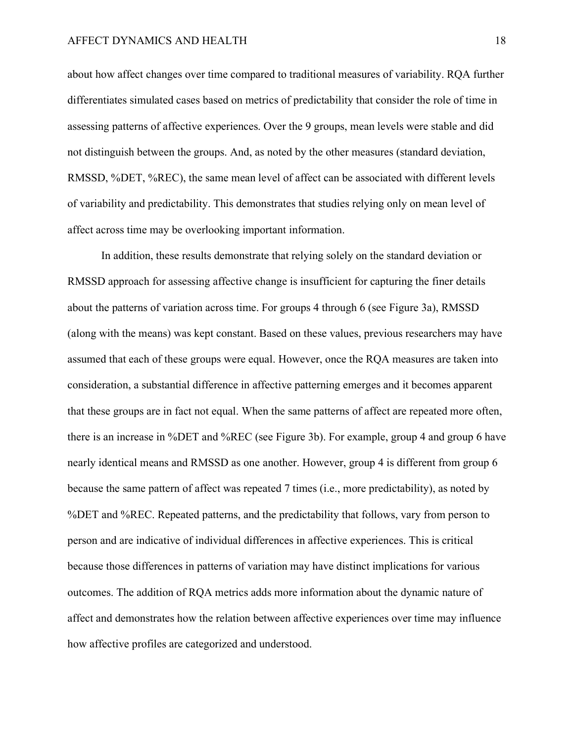about how affect changes over time compared to traditional measures of variability. RQA further differentiates simulated cases based on metrics of predictability that consider the role of time in assessing patterns of affective experiences. Over the 9 groups, mean levels were stable and did not distinguish between the groups. And, as noted by the other measures (standard deviation, RMSSD, %DET, %REC), the same mean level of affect can be associated with different levels of variability and predictability. This demonstrates that studies relying only on mean level of affect across time may be overlooking important information.

In addition, these results demonstrate that relying solely on the standard deviation or RMSSD approach for assessing affective change is insufficient for capturing the finer details about the patterns of variation across time. For groups 4 through 6 (see Figure 3a), RMSSD (along with the means) was kept constant. Based on these values, previous researchers may have assumed that each of these groups were equal. However, once the RQA measures are taken into consideration, a substantial difference in affective patterning emerges and it becomes apparent that these groups are in fact not equal. When the same patterns of affect are repeated more often, there is an increase in %DET and %REC (see Figure 3b). For example, group 4 and group 6 have nearly identical means and RMSSD as one another. However, group 4 is different from group 6 because the same pattern of affect was repeated 7 times (i.e., more predictability), as noted by %DET and %REC. Repeated patterns, and the predictability that follows, vary from person to person and are indicative of individual differences in affective experiences. This is critical because those differences in patterns of variation may have distinct implications for various outcomes. The addition of RQA metrics adds more information about the dynamic nature of affect and demonstrates how the relation between affective experiences over time may influence how affective profiles are categorized and understood.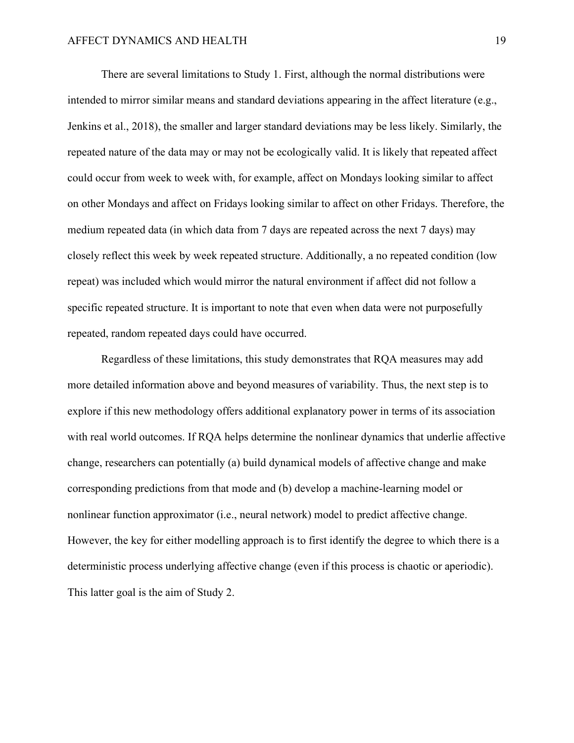There are several limitations to Study 1. First, although the normal distributions were intended to mirror similar means and standard deviations appearing in the affect literature (e.g., Jenkins et al., 2018), the smaller and larger standard deviations may be less likely. Similarly, the repeated nature of the data may or may not be ecologically valid. It is likely that repeated affect could occur from week to week with, for example, affect on Mondays looking similar to affect on other Mondays and affect on Fridays looking similar to affect on other Fridays. Therefore, the medium repeated data (in which data from 7 days are repeated across the next 7 days) may closely reflect this week by week repeated structure. Additionally, a no repeated condition (low repeat) was included which would mirror the natural environment if affect did not follow a specific repeated structure. It is important to note that even when data were not purposefully repeated, random repeated days could have occurred.

Regardless of these limitations, this study demonstrates that RQA measures may add more detailed information above and beyond measures of variability. Thus, the next step is to explore if this new methodology offers additional explanatory power in terms of its association with real world outcomes. If RQA helps determine the nonlinear dynamics that underlie affective change, researchers can potentially (a) build dynamical models of affective change and make corresponding predictions from that mode and (b) develop a machine-learning model or nonlinear function approximator (i.e., neural network) model to predict affective change. However, the key for either modelling approach is to first identify the degree to which there is a deterministic process underlying affective change (even if this process is chaotic or aperiodic). This latter goal is the aim of Study 2.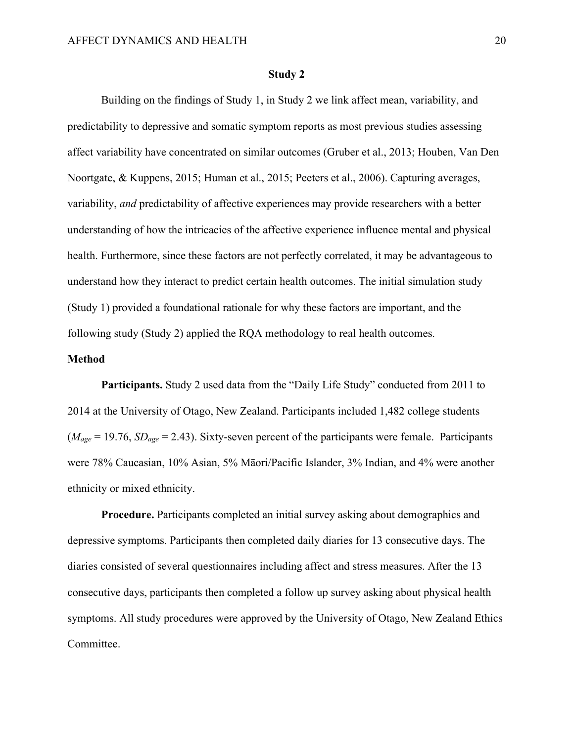#### **Study 2**

Building on the findings of Study 1, in Study 2 we link affect mean, variability, and predictability to depressive and somatic symptom reports as most previous studies assessing affect variability have concentrated on similar outcomes (Gruber et al., 2013; Houben, Van Den Noortgate, & Kuppens, 2015; Human et al., 2015; Peeters et al., 2006). Capturing averages, variability, *and* predictability of affective experiences may provide researchers with a better understanding of how the intricacies of the affective experience influence mental and physical health. Furthermore, since these factors are not perfectly correlated, it may be advantageous to understand how they interact to predict certain health outcomes. The initial simulation study (Study 1) provided a foundational rationale for why these factors are important, and the following study (Study 2) applied the RQA methodology to real health outcomes.

#### **Method**

**Participants.** Study 2 used data from the "Daily Life Study" conducted from 2011 to 2014 at the University of Otago, New Zealand. Participants included 1,482 college students (*Mage* = 19.76, *SDage* = 2.43). Sixty-seven percent of the participants were female. Participants were 78% Caucasian, 10% Asian, 5% Māori/Pacific Islander, 3% Indian, and 4% were another ethnicity or mixed ethnicity.

**Procedure.** Participants completed an initial survey asking about demographics and depressive symptoms. Participants then completed daily diaries for 13 consecutive days. The diaries consisted of several questionnaires including affect and stress measures. After the 13 consecutive days, participants then completed a follow up survey asking about physical health symptoms. All study procedures were approved by the University of Otago, New Zealand Ethics Committee.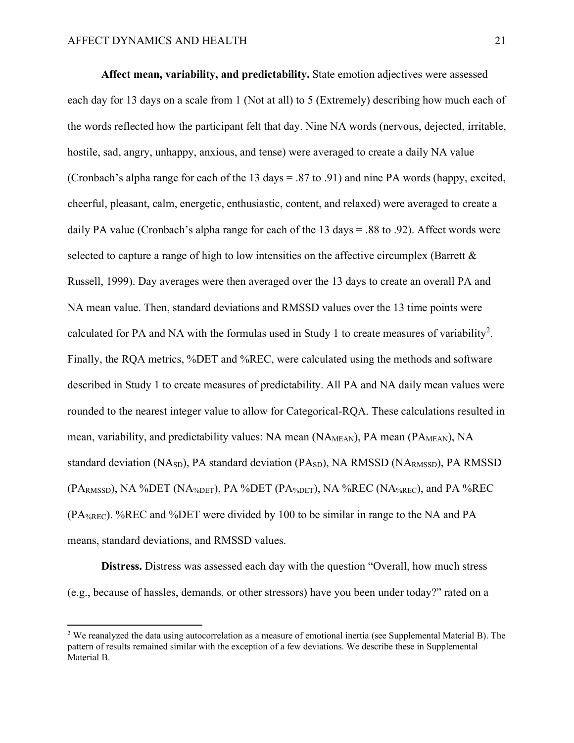**Affect mean, variability, and predictability.** State emotion adjectives were assessed each day for 13 days on a scale from 1 (Not at all) to 5 (Extremely) describing how much each of the words reflected how the participant felt that day. Nine NA words (nervous, dejected, irritable, hostile, sad, angry, unhappy, anxious, and tense) were averaged to create a daily NA value (Cronbach's alpha range for each of the 13 days = .87 to .91) and nine PA words (happy, excited, cheerful, pleasant, calm, energetic, enthusiastic, content, and relaxed) were averaged to create a daily PA value (Cronbach's alpha range for each of the 13 days = .88 to .92). Affect words were selected to capture a range of high to low intensities on the affective circumplex (Barrett & Russell, 1999). Day averages were then averaged over the 13 days to create an overall PA and NA mean value. Then, standard deviations and RMSSD values over the 13 time points were calculated for PA and NA with the formulas used in Study 1 to create measures of variability<sup>[2](#page-22-0)</sup>. Finally, the RQA metrics, %DET and %REC, were calculated using the methods and software described in Study 1 to create measures of predictability. All PA and NA daily mean values were rounded to the nearest integer value to allow for Categorical-RQA. These calculations resulted in mean, variability, and predictability values: NA mean (NA<sub>MEAN</sub>), PA mean (PA<sub>MEAN</sub>), NA standard deviation (NASD), PA standard deviation (PASD), NA RMSSD (NARMSSD), PA RMSSD (PARMSSD), NA %DET (NA%DET), PA %DET (PA%DET), NA %REC (NA%REC), and PA %REC (PA%REC). %REC and %DET were divided by 100 to be similar in range to the NA and PA means, standard deviations, and RMSSD values.

**Distress.** Distress was assessed each day with the question "Overall, how much stress (e.g., because of hassles, demands, or other stressors) have you been under today?" rated on a

<span id="page-22-0"></span><sup>&</sup>lt;sup>2</sup> We reanalyzed the data using autocorrelation as a measure of emotional inertia (see Supplemental Material B). The pattern of results remained similar with the exception of a few deviations. We describe these in Supplemental Material B.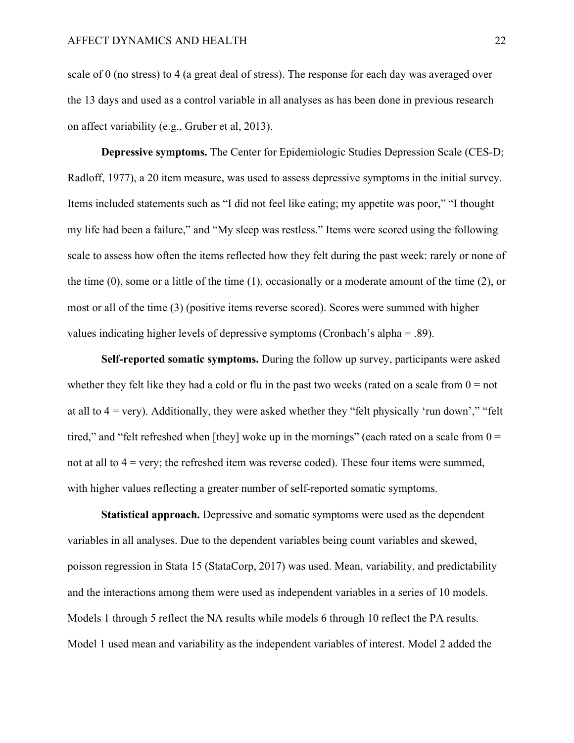scale of 0 (no stress) to 4 (a great deal of stress). The response for each day was averaged over the 13 days and used as a control variable in all analyses as has been done in previous research on affect variability (e.g., Gruber et al, 2013).

**Depressive symptoms.** The Center for Epidemiologic Studies Depression Scale (CES-D; Radloff, 1977), a 20 item measure, was used to assess depressive symptoms in the initial survey. Items included statements such as "I did not feel like eating; my appetite was poor," "I thought my life had been a failure," and "My sleep was restless." Items were scored using the following scale to assess how often the items reflected how they felt during the past week: rarely or none of the time (0), some or a little of the time (1), occasionally or a moderate amount of the time (2), or most or all of the time (3) (positive items reverse scored). Scores were summed with higher values indicating higher levels of depressive symptoms (Cronbach's alpha = .89).

**Self-reported somatic symptoms.** During the follow up survey, participants were asked whether they felt like they had a cold or flu in the past two weeks (rated on a scale from  $0 = not$ at all to  $4 = \text{very}$ ). Additionally, they were asked whether they "felt physically 'run down'," "felt tired," and "felt refreshed when [they] woke up in the mornings" (each rated on a scale from  $0 =$ not at all to  $4 = \text{very}$ ; the refreshed item was reverse coded). These four items were summed, with higher values reflecting a greater number of self-reported somatic symptoms.

**Statistical approach.** Depressive and somatic symptoms were used as the dependent variables in all analyses. Due to the dependent variables being count variables and skewed, poisson regression in Stata 15 (StataCorp, 2017) was used. Mean, variability, and predictability and the interactions among them were used as independent variables in a series of 10 models. Models 1 through 5 reflect the NA results while models 6 through 10 reflect the PA results. Model 1 used mean and variability as the independent variables of interest. Model 2 added the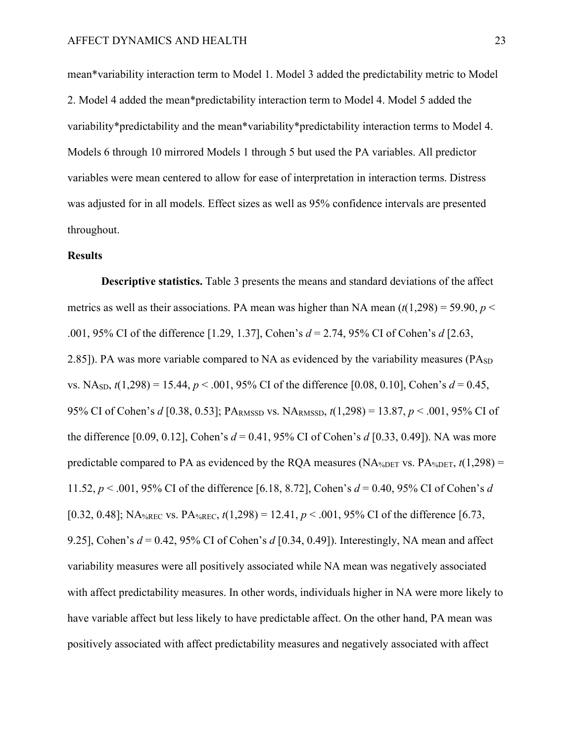mean\*variability interaction term to Model 1. Model 3 added the predictability metric to Model 2. Model 4 added the mean\*predictability interaction term to Model 4. Model 5 added the variability\*predictability and the mean\*variability\*predictability interaction terms to Model 4. Models 6 through 10 mirrored Models 1 through 5 but used the PA variables. All predictor variables were mean centered to allow for ease of interpretation in interaction terms. Distress was adjusted for in all models. Effect sizes as well as 95% confidence intervals are presented throughout.

#### **Results**

**Descriptive statistics.** Table 3 presents the means and standard deviations of the affect metrics as well as their associations. PA mean was higher than NA mean  $(t(1,298) = 59.90, p <$ .001, 95% CI of the difference [1.29, 1.37], Cohen's *d* = 2.74, 95% CI of Cohen's *d* [2.63, 2.85]). PA was more variable compared to NA as evidenced by the variability measures ( $P A_{SD}$ ) vs. NA<sub>SD</sub>,  $t(1,298) = 15.44$ ,  $p < .001$ , 95% CI of the difference [0.08, 0.10], Cohen's  $d = 0.45$ , 95% CI of Cohen's *d* [0.38, 0.53]; PARMSSD vs. NARMSSD, *t*(1,298) = 13.87, *p* < .001, 95% CI of the difference [0.09, 0.12], Cohen's *d* = 0.41, 95% CI of Cohen's *d* [0.33, 0.49]). NA was more predictable compared to PA as evidenced by the RQA measures (NA<sub>%DET</sub> vs. PA<sub>%DET</sub>,  $t(1,298)$ ) = 11.52, *p* < .001, 95% CI of the difference [6.18, 8.72], Cohen's *d* = 0.40, 95% CI of Cohen's *d* [0.32, 0.48]; NA<sub>%REC</sub> vs. PA<sub>%REC</sub>,  $t(1,298) = 12.41, p < .001, 95\%$  CI of the difference [6.73, 9.25], Cohen's *d* = 0.42, 95% CI of Cohen's *d* [0.34, 0.49]). Interestingly, NA mean and affect variability measures were all positively associated while NA mean was negatively associated with affect predictability measures. In other words, individuals higher in NA were more likely to have variable affect but less likely to have predictable affect. On the other hand, PA mean was positively associated with affect predictability measures and negatively associated with affect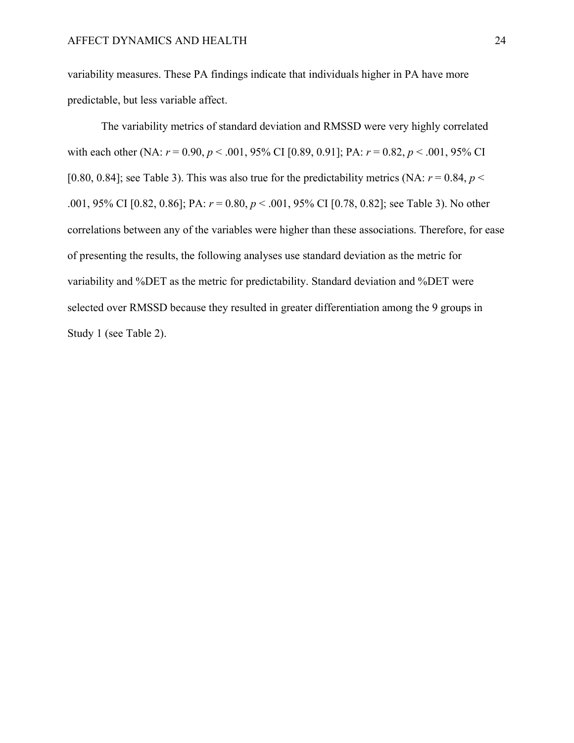variability measures. These PA findings indicate that individuals higher in PA have more predictable, but less variable affect.

The variability metrics of standard deviation and RMSSD were very highly correlated with each other (NA: *r* = 0.90, *p* < .001, 95% CI [0.89, 0.91]; PA: *r* = 0.82, *p* < .001, 95% CI [0.80, 0.84]; see Table 3). This was also true for the predictability metrics (NA:  $r = 0.84$ ,  $p <$ .001, 95% CI [0.82, 0.86]; PA: *r* = 0.80, *p* < .001, 95% CI [0.78, 0.82]; see Table 3). No other correlations between any of the variables were higher than these associations. Therefore, for ease of presenting the results, the following analyses use standard deviation as the metric for variability and %DET as the metric for predictability. Standard deviation and %DET were selected over RMSSD because they resulted in greater differentiation among the 9 groups in Study 1 (see Table 2).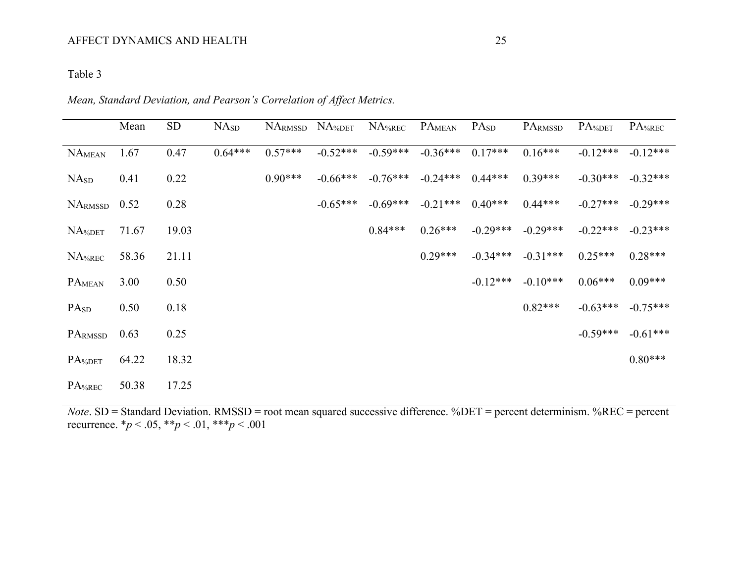# Table 3

|                    | Mean  | SD    | NA <sub>SD</sub> | NARMSSD   | $NA^$ det  | $NA$ %REC  | PAMEAN     | PA <sub>SD</sub> | PARMSSD    | PA%DET     | PA%REC     |
|--------------------|-------|-------|------------------|-----------|------------|------------|------------|------------------|------------|------------|------------|
| NAMEAN             | 1.67  | 0.47  | $0.64***$        | $0.57***$ | $-0.52***$ | $-0.59***$ | $-0.36***$ | $0.17***$        | $0.16***$  | $-0.12***$ | $-0.12***$ |
| NA <sub>SD</sub>   | 0.41  | 0.22  |                  | $0.90***$ | $-0.66***$ | $-0.76***$ | $-0.24***$ | $0.44***$        | $0.39***$  | $-0.30***$ | $-0.32***$ |
| NARMSSD            | 0.52  | 0.28  |                  |           | $-0.65***$ | $-0.69***$ | $-0.21***$ | $0.40***$        | $0.44***$  | $-0.27***$ | $-0.29***$ |
| $NA^$ DET          | 71.67 | 19.03 |                  |           |            | $0.84***$  | $0.26***$  | $-0.29***$       | $-0.29***$ | $-0.22***$ | $-0.23***$ |
| NA%REC             | 58.36 | 21.11 |                  |           |            |            | $0.29***$  | $-0.34***$       | $-0.31***$ | $0.25***$  | $0.28***$  |
| PAMEAN             | 3.00  | 0.50  |                  |           |            |            |            | $-0.12***$       | $-0.10***$ | $0.06***$  | $0.09***$  |
| PA <sub>SD</sub>   | 0.50  | 0.18  |                  |           |            |            |            |                  | $0.82***$  | $-0.63***$ | $-0.75***$ |
| PARMSSD            | 0.63  | 0.25  |                  |           |            |            |            |                  |            | $-0.59***$ | $-0.61***$ |
| PA <sub>%DET</sub> | 64.22 | 18.32 |                  |           |            |            |            |                  |            |            | $0.80***$  |
| PA <sub>%REC</sub> | 50.38 | 17.25 |                  |           |            |            |            |                  |            |            |            |

*Note*. SD = Standard Deviation. RMSSD = root mean squared successive difference. %DET = percent determinism. %REC = percent recurrence. \**p* < .05, \*\**p* < .01, \*\*\**p* < .001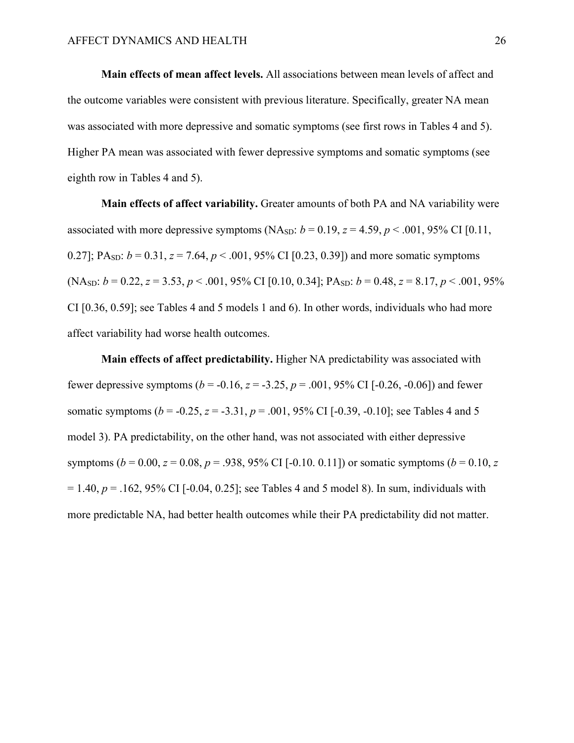**Main effects of mean affect levels.** All associations between mean levels of affect and the outcome variables were consistent with previous literature. Specifically, greater NA mean was associated with more depressive and somatic symptoms (see first rows in Tables 4 and 5). Higher PA mean was associated with fewer depressive symptoms and somatic symptoms (see eighth row in Tables 4 and 5).

**Main effects of affect variability.** Greater amounts of both PA and NA variability were associated with more depressive symptoms (NA<sub>SD</sub>:  $b = 0.19$ ,  $z = 4.59$ ,  $p < .001$ , 95% CI [0.11, 0.27]; PA<sub>SD</sub>:  $b = 0.31$ ,  $z = 7.64$ ,  $p < .001$ , 95% CI [0.23, 0.39]) and more somatic symptoms (NA<sub>SD</sub>:  $b = 0.22$ ,  $z = 3.53$ ,  $p < .001$ , 95% CI [0.10, 0.34]; PA<sub>SD</sub>:  $b = 0.48$ ,  $z = 8.17$ ,  $p < .001$ , 95% CI [0.36, 0.59]; see Tables 4 and 5 models 1 and 6). In other words, individuals who had more affect variability had worse health outcomes.

**Main effects of affect predictability.** Higher NA predictability was associated with fewer depressive symptoms ( $b = -0.16$ ,  $z = -3.25$ ,  $p = .001$ , 95% CI [ $-0.26$ ,  $-0.06$ ]) and fewer somatic symptoms ( $b = -0.25$ ,  $z = -3.31$ ,  $p = .001$ , 95% CI [-0.39, -0.10]; see Tables 4 and 5 model 3). PA predictability, on the other hand, was not associated with either depressive symptoms ( $b = 0.00$ ,  $z = 0.08$ ,  $p = .938$ , 95% CI [-0.10. 0.11]) or somatic symptoms ( $b = 0.10$ ,  $z = 0.00$  $= 1.40, p = .162, 95\% \text{ CI}$  [-0.04, 0.25]; see Tables 4 and 5 model 8). In sum, individuals with more predictable NA, had better health outcomes while their PA predictability did not matter.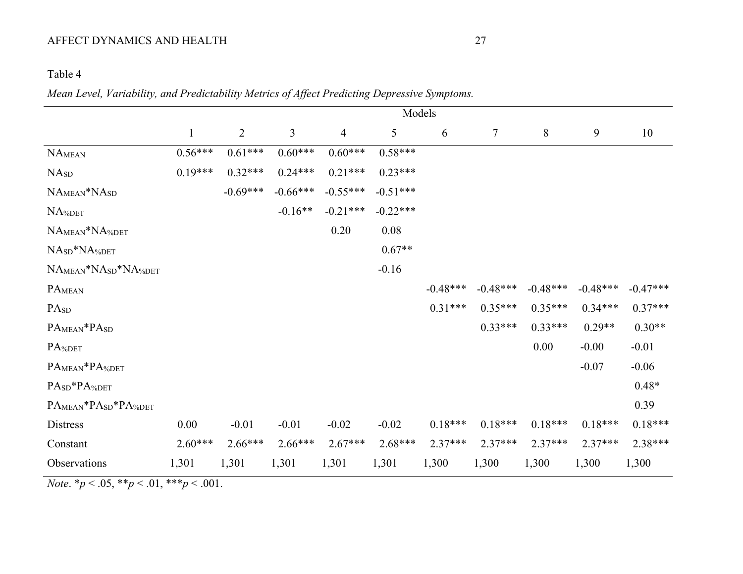# Table 4

# *Mean Level, Variability, and Predictability Metrics of Affect Predicting Depressive Symptoms.*

|                                      |              |                |                |                |            | Models     |            |            |            |            |
|--------------------------------------|--------------|----------------|----------------|----------------|------------|------------|------------|------------|------------|------------|
|                                      | $\mathbf{1}$ | $\overline{2}$ | $\mathfrak{Z}$ | $\overline{4}$ | 5          | 6          | $\tau$     | $8\,$      | 9          | 10         |
| $\rm NA_{MEAN}$                      | $0.56***$    | $0.61***$      | $0.60***$      | $0.60***$      | $0.58***$  |            |            |            |            |            |
| <b>NA<sub>SD</sub></b>               | $0.19***$    | $0.32***$      | $0.24***$      | $0.21***$      | $0.23***$  |            |            |            |            |            |
| NAMEAN*NASD                          |              | $-0.69***$     | $-0.66***$     | $-0.55***$     | $-0.51***$ |            |            |            |            |            |
| NA%DET                               |              |                | $-0.16**$      | $-0.21***$     | $-0.22***$ |            |            |            |            |            |
| NAMEAN*NA%DET                        |              |                |                | 0.20           | 0.08       |            |            |            |            |            |
| NA <sub>SD</sub> *NA <sub>%DET</sub> |              |                |                |                | $0.67**$   |            |            |            |            |            |
| NAMEAN*NASD*NA%DET                   |              |                |                |                | $-0.16$    |            |            |            |            |            |
| PAMEAN                               |              |                |                |                |            | $-0.48***$ | $-0.48***$ | $-0.48***$ | $-0.48***$ | $-0.47***$ |
| PA <sub>SD</sub>                     |              |                |                |                |            | $0.31***$  | $0.35***$  | $0.35***$  | $0.34***$  | $0.37***$  |
| PA <sub>MEAN</sub> *PA <sub>SD</sub> |              |                |                |                |            |            | $0.33***$  | $0.33***$  | $0.29**$   | $0.30**$   |
| PA%DET                               |              |                |                |                |            |            |            | 0.00       | $-0.00$    | $-0.01$    |
| PAMEAN*PA%DET                        |              |                |                |                |            |            |            |            | $-0.07$    | $-0.06$    |
| PASD*PA%DET                          |              |                |                |                |            |            |            |            |            | $0.48*$    |
| PAMEAN*PASD*PA%DET                   |              |                |                |                |            |            |            |            |            | 0.39       |
| Distress                             | 0.00         | $-0.01$        | $-0.01$        | $-0.02$        | $-0.02$    | $0.18***$  | $0.18***$  | $0.18***$  | $0.18***$  | $0.18***$  |
| Constant                             | $2.60***$    | $2.66***$      | $2.66***$      | $2.67***$      | $2.68***$  | $2.37***$  | $2.37***$  | $2.37***$  | $2.37***$  | $2.38***$  |
| Observations                         | 1,301        | 1,301          | 1,301          | 1,301          | 1,301      | 1,300      | 1,300      | 1,300      | 1,300      | 1,300      |

*Note*.  $* p < .05, ** p < .01, ** p < .001$ .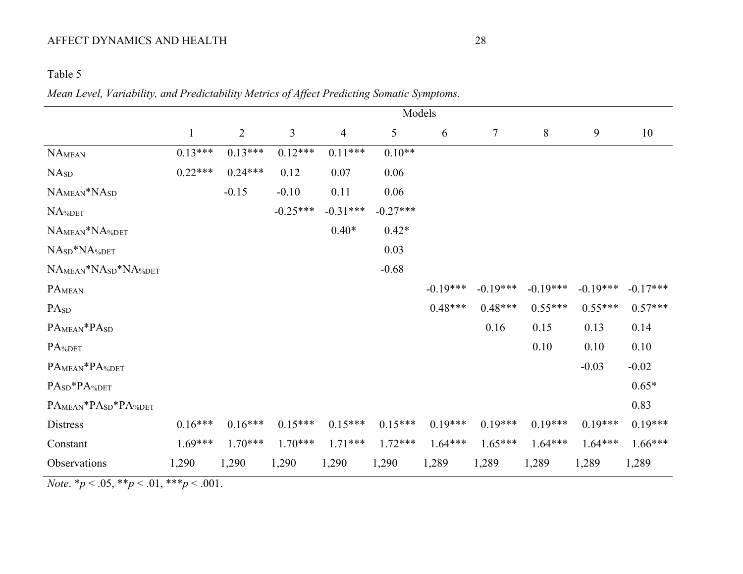# Table 5

*Mean Level, Variability, and Predictability Metrics of Affect Predicting Somatic Symptoms.*

|                                      |              |                |            |                |            | Models     |            |            |            |            |
|--------------------------------------|--------------|----------------|------------|----------------|------------|------------|------------|------------|------------|------------|
|                                      | $\mathbf{1}$ | $\overline{2}$ | 3          | $\overline{4}$ | 5          | 6          | $\tau$     | 8          | 9          | 10         |
| NA <sub>MEAN</sub>                   | $0.13***$    | $0.13***$      | $0.12***$  | $0.11***$      | $0.10**$   |            |            |            |            |            |
| NA <sub>SD</sub>                     | $0.22***$    | $0.24***$      | 0.12       | 0.07           | 0.06       |            |            |            |            |            |
| $NAMEAN*NASD$                        |              | $-0.15$        | $-0.10$    | 0.11           | 0.06       |            |            |            |            |            |
| NA%DET                               |              |                | $-0.25***$ | $-0.31***$     | $-0.27***$ |            |            |            |            |            |
| NAMEAN*NA%DET                        |              |                |            | $0.40*$        | $0.42*$    |            |            |            |            |            |
| NA <sub>SD</sub> *NA <sub>%DET</sub> |              |                |            |                | 0.03       |            |            |            |            |            |
| NAMEAN*NASD*NA%DET                   |              |                |            |                | $-0.68$    |            |            |            |            |            |
| PAMEAN                               |              |                |            |                |            | $-0.19***$ | $-0.19***$ | $-0.19***$ | $-0.19***$ | $-0.17***$ |
| PA <sub>SD</sub>                     |              |                |            |                |            | $0.48***$  | $0.48***$  | $0.55***$  | $0.55***$  | $0.57***$  |
| PAMEAN*PASD                          |              |                |            |                |            |            | 0.16       | 0.15       | 0.13       | 0.14       |
| PA%DET                               |              |                |            |                |            |            |            | 0.10       | 0.10       | 0.10       |
| PAMEAN*PA%DET                        |              |                |            |                |            |            |            |            | $-0.03$    | $-0.02$    |
| PASD*PA%DET                          |              |                |            |                |            |            |            |            |            | $0.65*$    |
| PAMEAN*PASD*PA%DET                   |              |                |            |                |            |            |            |            |            | 0.83       |
| Distress                             | $0.16***$    | $0.16***$      | $0.15***$  | $0.15***$      | $0.15***$  | $0.19***$  | $0.19***$  | $0.19***$  | $0.19***$  | $0.19***$  |
| Constant                             | $1.69***$    | $1.70***$      | $1.70***$  | $1.71***$      | $1.72***$  | $1.64***$  | $1.65***$  | $1.64***$  | $1.64***$  | $1.66***$  |
| Observations                         | 1,290        | 1,290          | 1,290      | 1,290          | 1,290      | 1,289      | 1,289      | 1,289      | 1,289      | 1,289      |

*Note*.  $* p < .05, ** p < .01, ** p < .001$ .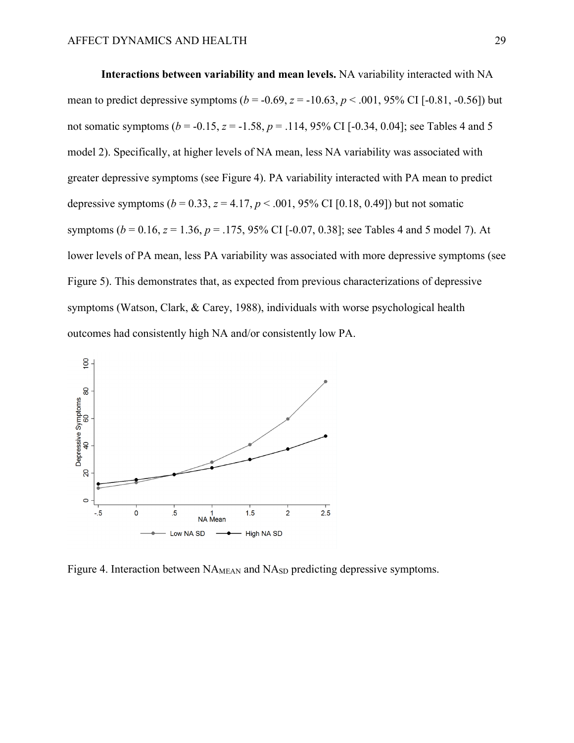**Interactions between variability and mean levels.** NA variability interacted with NA mean to predict depressive symptoms ( $b = -0.69$ ,  $z = -10.63$ ,  $p < .001$ , 95% CI [-0.81, -0.56]) but not somatic symptoms ( $b = -0.15$ ,  $z = -1.58$ ,  $p = .114$ , 95% CI [-0.34, 0.04]; see Tables 4 and 5 model 2). Specifically, at higher levels of NA mean, less NA variability was associated with greater depressive symptoms (see Figure 4). PA variability interacted with PA mean to predict depressive symptoms  $(b = 0.33, z = 4.17, p < .001, 95\% \text{ CI} [0.18, 0.49])$  but not somatic symptoms (*b* = 0.16, *z* = 1.36, *p* = .175, 95% CI [-0.07, 0.38]; see Tables 4 and 5 model 7). At lower levels of PA mean, less PA variability was associated with more depressive symptoms (see Figure 5). This demonstrates that, as expected from previous characterizations of depressive symptoms (Watson, Clark, & Carey, 1988), individuals with worse psychological health outcomes had consistently high NA and/or consistently low PA.



Figure 4. Interaction between NA<sub>MEAN</sub> and NA<sub>SD</sub> predicting depressive symptoms.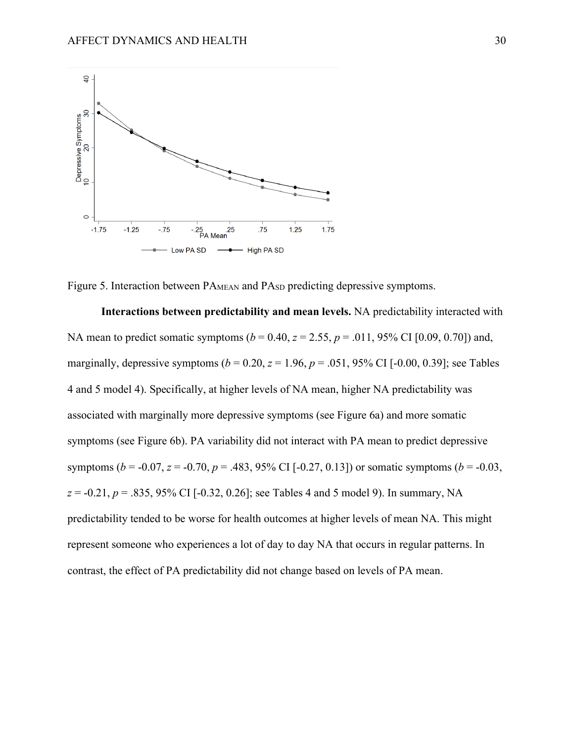

Figure 5. Interaction between PA<sub>MEAN</sub> and PA<sub>SD</sub> predicting depressive symptoms.

**Interactions between predictability and mean levels.** NA predictability interacted with NA mean to predict somatic symptoms  $(b = 0.40, z = 2.55, p = .011, 95\% \text{ CI} [0.09, 0.70])$  and, marginally, depressive symptoms  $(b = 0.20, z = 1.96, p = .051, 95\% \text{ CI}$  [-0.00, 0.39]; see Tables 4 and 5 model 4). Specifically, at higher levels of NA mean, higher NA predictability was associated with marginally more depressive symptoms (see Figure 6a) and more somatic symptoms (see Figure 6b). PA variability did not interact with PA mean to predict depressive symptoms ( $b = -0.07$ ,  $z = -0.70$ ,  $p = .483$ , 95% CI [ $-0.27$ , 0.13]) or somatic symptoms ( $b = -0.03$ , *z* = -0.21, *p* = .835, 95% CI [-0.32, 0.26]; see Tables 4 and 5 model 9). In summary, NA predictability tended to be worse for health outcomes at higher levels of mean NA. This might represent someone who experiences a lot of day to day NA that occurs in regular patterns. In contrast, the effect of PA predictability did not change based on levels of PA mean.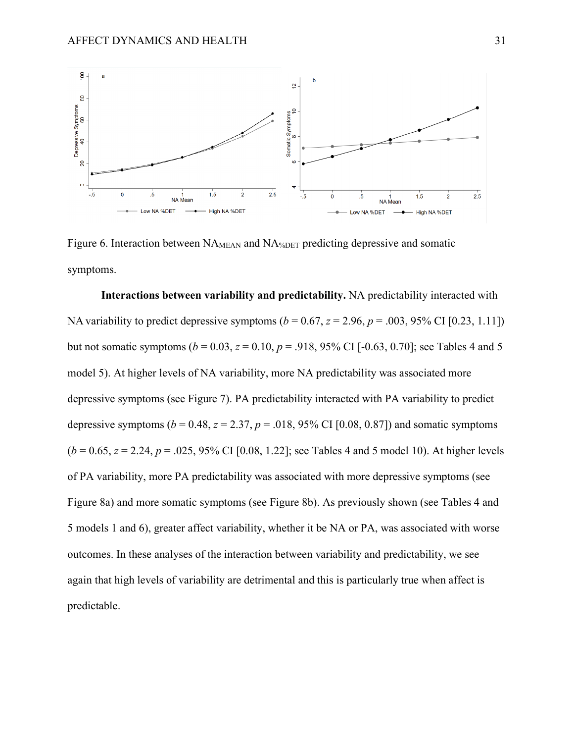

Figure 6. Interaction between NA<sub>MEAN</sub> and NA<sub>%DET</sub> predicting depressive and somatic symptoms.

**Interactions between variability and predictability.** NA predictability interacted with NA variability to predict depressive symptoms  $(b = 0.67, z = 2.96, p = .003, 95\% \text{ CI} [0.23, 1.11])$ but not somatic symptoms ( $b = 0.03$ ,  $z = 0.10$ ,  $p = .918$ , 95% CI [-0.63, 0.70]; see Tables 4 and 5 model 5). At higher levels of NA variability, more NA predictability was associated more depressive symptoms (see Figure 7). PA predictability interacted with PA variability to predict depressive symptoms ( $b = 0.48$ ,  $z = 2.37$ ,  $p = .018$ , 95% CI [0.08, 0.87]) and somatic symptoms  $(b = 0.65, z = 2.24, p = .025, 95\% \text{ CI}$  [0.08, 1.22]; see Tables 4 and 5 model 10). At higher levels of PA variability, more PA predictability was associated with more depressive symptoms (see Figure 8a) and more somatic symptoms (see Figure 8b). As previously shown (see Tables 4 and 5 models 1 and 6), greater affect variability, whether it be NA or PA, was associated with worse outcomes. In these analyses of the interaction between variability and predictability, we see again that high levels of variability are detrimental and this is particularly true when affect is predictable.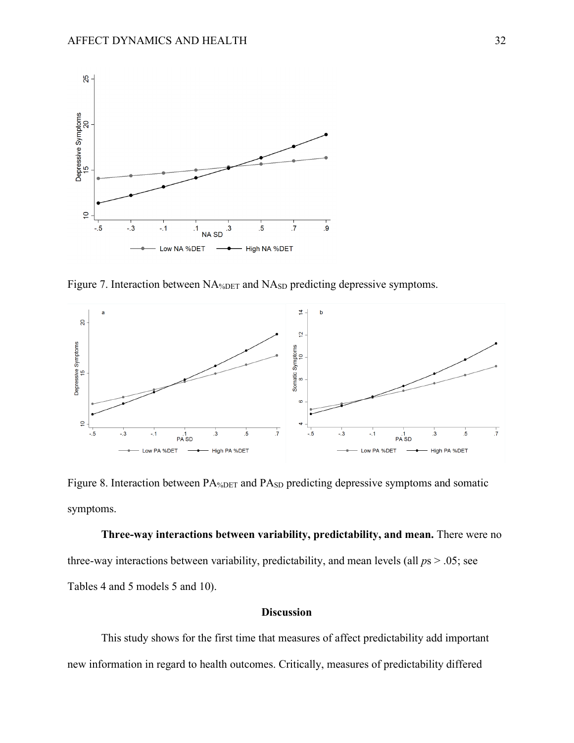

Figure 7. Interaction between NA<sub>%DET</sub> and NA<sub>SD</sub> predicting depressive symptoms.



Figure 8. Interaction between PA<sub>%DET</sub> and PA<sub>SD</sub> predicting depressive symptoms and somatic symptoms.

**Three-way interactions between variability, predictability, and mean.** There were no three-way interactions between variability, predictability, and mean levels (all *p*s > .05; see Tables 4 and 5 models 5 and 10).

#### **Discussion**

This study shows for the first time that measures of affect predictability add important new information in regard to health outcomes. Critically, measures of predictability differed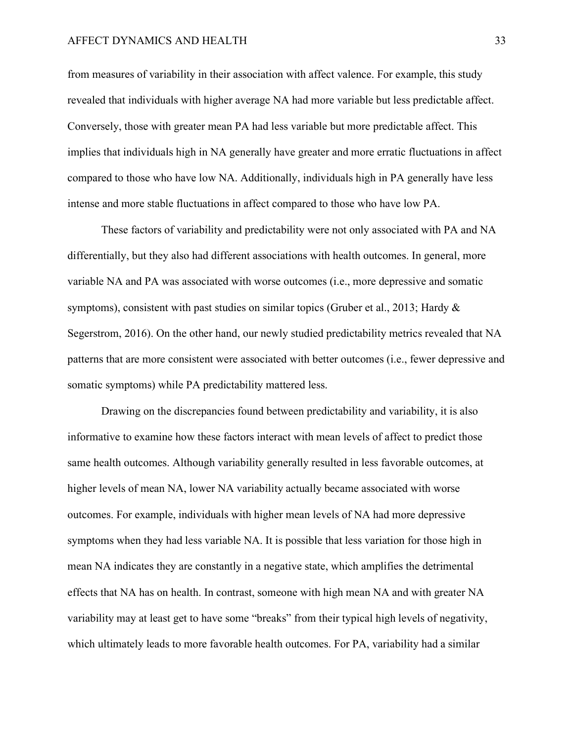from measures of variability in their association with affect valence. For example, this study revealed that individuals with higher average NA had more variable but less predictable affect. Conversely, those with greater mean PA had less variable but more predictable affect. This implies that individuals high in NA generally have greater and more erratic fluctuations in affect compared to those who have low NA. Additionally, individuals high in PA generally have less intense and more stable fluctuations in affect compared to those who have low PA.

These factors of variability and predictability were not only associated with PA and NA differentially, but they also had different associations with health outcomes. In general, more variable NA and PA was associated with worse outcomes (i.e., more depressive and somatic symptoms), consistent with past studies on similar topics (Gruber et al., 2013; Hardy & Segerstrom, 2016). On the other hand, our newly studied predictability metrics revealed that NA patterns that are more consistent were associated with better outcomes (i.e., fewer depressive and somatic symptoms) while PA predictability mattered less.

Drawing on the discrepancies found between predictability and variability, it is also informative to examine how these factors interact with mean levels of affect to predict those same health outcomes. Although variability generally resulted in less favorable outcomes, at higher levels of mean NA, lower NA variability actually became associated with worse outcomes. For example, individuals with higher mean levels of NA had more depressive symptoms when they had less variable NA. It is possible that less variation for those high in mean NA indicates they are constantly in a negative state, which amplifies the detrimental effects that NA has on health. In contrast, someone with high mean NA and with greater NA variability may at least get to have some "breaks" from their typical high levels of negativity, which ultimately leads to more favorable health outcomes. For PA, variability had a similar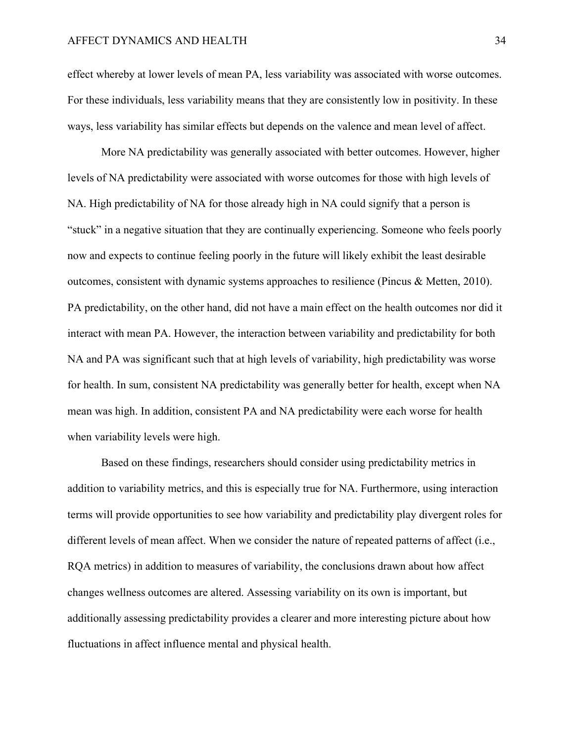effect whereby at lower levels of mean PA, less variability was associated with worse outcomes. For these individuals, less variability means that they are consistently low in positivity. In these ways, less variability has similar effects but depends on the valence and mean level of affect.

More NA predictability was generally associated with better outcomes. However, higher levels of NA predictability were associated with worse outcomes for those with high levels of NA. High predictability of NA for those already high in NA could signify that a person is "stuck" in a negative situation that they are continually experiencing. Someone who feels poorly now and expects to continue feeling poorly in the future will likely exhibit the least desirable outcomes, consistent with dynamic systems approaches to resilience (Pincus & Metten, 2010). PA predictability, on the other hand, did not have a main effect on the health outcomes nor did it interact with mean PA. However, the interaction between variability and predictability for both NA and PA was significant such that at high levels of variability, high predictability was worse for health. In sum, consistent NA predictability was generally better for health, except when NA mean was high. In addition, consistent PA and NA predictability were each worse for health when variability levels were high.

Based on these findings, researchers should consider using predictability metrics in addition to variability metrics, and this is especially true for NA. Furthermore, using interaction terms will provide opportunities to see how variability and predictability play divergent roles for different levels of mean affect. When we consider the nature of repeated patterns of affect (i.e., RQA metrics) in addition to measures of variability, the conclusions drawn about how affect changes wellness outcomes are altered. Assessing variability on its own is important, but additionally assessing predictability provides a clearer and more interesting picture about how fluctuations in affect influence mental and physical health.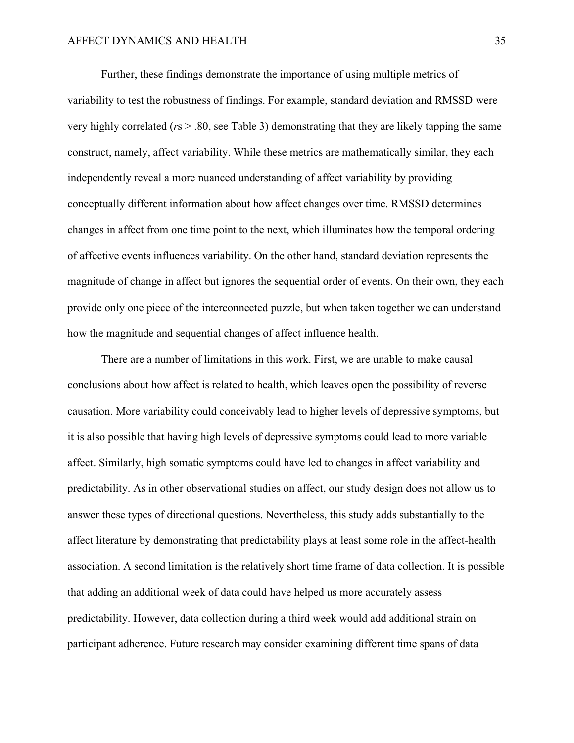Further, these findings demonstrate the importance of using multiple metrics of variability to test the robustness of findings. For example, standard deviation and RMSSD were very highly correlated (*r*s > .80, see Table 3) demonstrating that they are likely tapping the same construct, namely, affect variability. While these metrics are mathematically similar, they each independently reveal a more nuanced understanding of affect variability by providing conceptually different information about how affect changes over time. RMSSD determines changes in affect from one time point to the next, which illuminates how the temporal ordering of affective events influences variability. On the other hand, standard deviation represents the magnitude of change in affect but ignores the sequential order of events. On their own, they each provide only one piece of the interconnected puzzle, but when taken together we can understand how the magnitude and sequential changes of affect influence health.

There are a number of limitations in this work. First, we are unable to make causal conclusions about how affect is related to health, which leaves open the possibility of reverse causation. More variability could conceivably lead to higher levels of depressive symptoms, but it is also possible that having high levels of depressive symptoms could lead to more variable affect. Similarly, high somatic symptoms could have led to changes in affect variability and predictability. As in other observational studies on affect, our study design does not allow us to answer these types of directional questions. Nevertheless, this study adds substantially to the affect literature by demonstrating that predictability plays at least some role in the affect-health association. A second limitation is the relatively short time frame of data collection. It is possible that adding an additional week of data could have helped us more accurately assess predictability. However, data collection during a third week would add additional strain on participant adherence. Future research may consider examining different time spans of data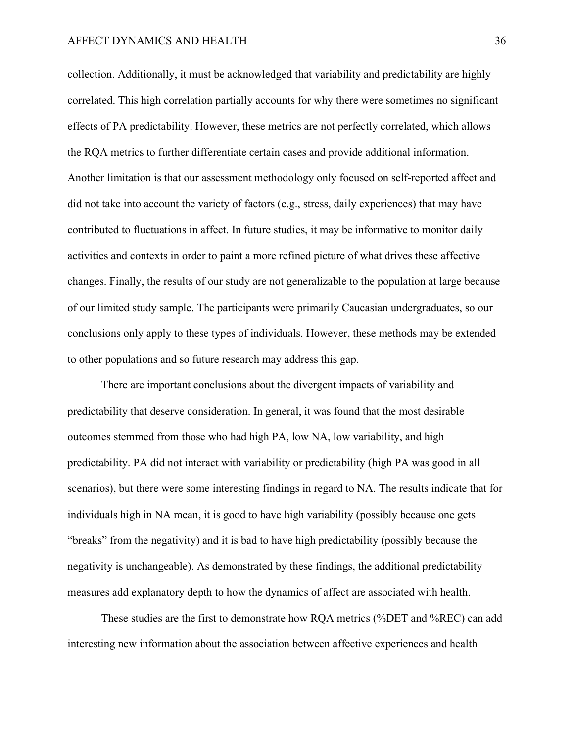collection. Additionally, it must be acknowledged that variability and predictability are highly correlated. This high correlation partially accounts for why there were sometimes no significant effects of PA predictability. However, these metrics are not perfectly correlated, which allows the RQA metrics to further differentiate certain cases and provide additional information. Another limitation is that our assessment methodology only focused on self-reported affect and did not take into account the variety of factors (e.g., stress, daily experiences) that may have contributed to fluctuations in affect. In future studies, it may be informative to monitor daily activities and contexts in order to paint a more refined picture of what drives these affective changes. Finally, the results of our study are not generalizable to the population at large because of our limited study sample. The participants were primarily Caucasian undergraduates, so our conclusions only apply to these types of individuals. However, these methods may be extended to other populations and so future research may address this gap.

There are important conclusions about the divergent impacts of variability and predictability that deserve consideration. In general, it was found that the most desirable outcomes stemmed from those who had high PA, low NA, low variability, and high predictability. PA did not interact with variability or predictability (high PA was good in all scenarios), but there were some interesting findings in regard to NA. The results indicate that for individuals high in NA mean, it is good to have high variability (possibly because one gets "breaks" from the negativity) and it is bad to have high predictability (possibly because the negativity is unchangeable). As demonstrated by these findings, the additional predictability measures add explanatory depth to how the dynamics of affect are associated with health.

These studies are the first to demonstrate how RQA metrics (%DET and %REC) can add interesting new information about the association between affective experiences and health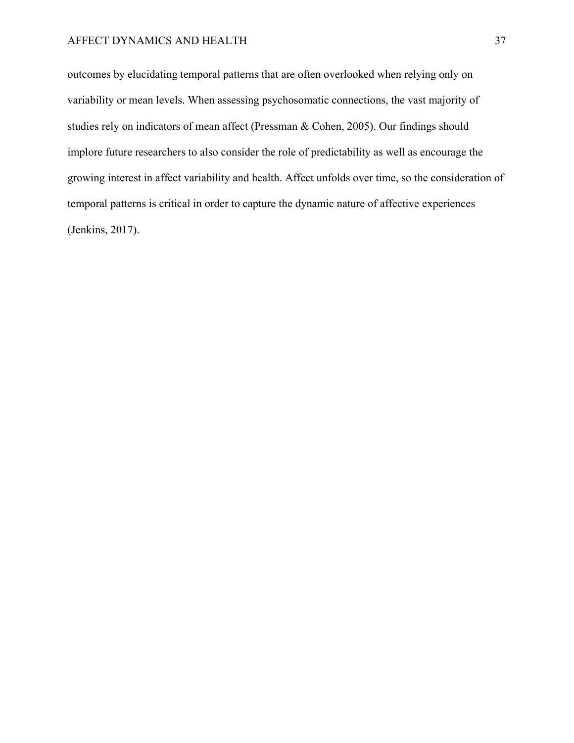outcomes by elucidating temporal patterns that are often overlooked when relying only on variability or mean levels. When assessing psychosomatic connections, the vast majority of studies rely on indicators of mean affect (Pressman & Cohen, 2005). Our findings should implore future researchers to also consider the role of predictability as well as encourage the growing interest in affect variability and health. Affect unfolds over time, so the consideration of temporal patterns is critical in order to capture the dynamic nature of affective experiences (Jenkins, 2017).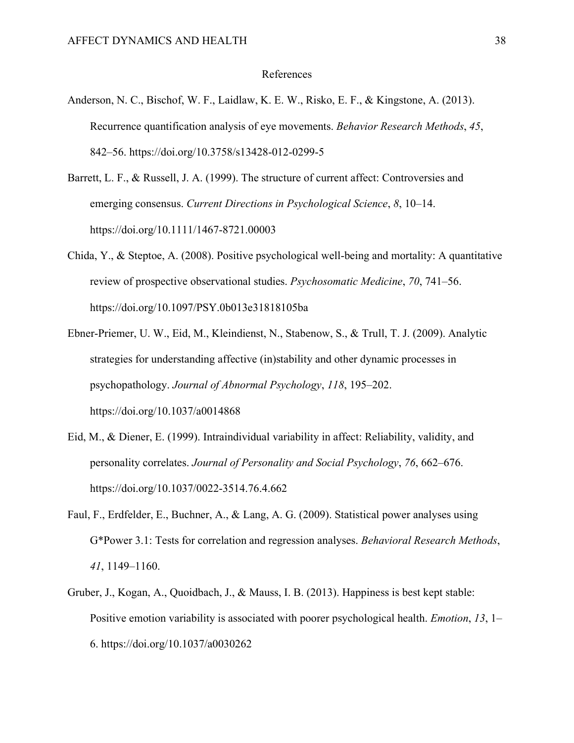#### References

- Anderson, N. C., Bischof, W. F., Laidlaw, K. E. W., Risko, E. F., & Kingstone, A. (2013). Recurrence quantification analysis of eye movements. *Behavior Research Methods*, *45*, 842–56. https://doi.org/10.3758/s13428-012-0299-5
- Barrett, L. F., & Russell, J. A. (1999). The structure of current affect: Controversies and emerging consensus. *Current Directions in Psychological Science*, *8*, 10–14. https://doi.org/10.1111/1467-8721.00003
- Chida, Y., & Steptoe, A. (2008). Positive psychological well-being and mortality: A quantitative review of prospective observational studies. *Psychosomatic Medicine*, *70*, 741–56. https://doi.org/10.1097/PSY.0b013e31818105ba
- Ebner-Priemer, U. W., Eid, M., Kleindienst, N., Stabenow, S., & Trull, T. J. (2009). Analytic strategies for understanding affective (in)stability and other dynamic processes in psychopathology. *Journal of Abnormal Psychology*, *118*, 195–202. https://doi.org/10.1037/a0014868
- Eid, M., & Diener, E. (1999). Intraindividual variability in affect: Reliability, validity, and personality correlates. *Journal of Personality and Social Psychology*, *76*, 662–676. https://doi.org/10.1037/0022-3514.76.4.662
- Faul, F., Erdfelder, E., Buchner, A., & Lang, A. G. (2009). Statistical power analyses using G\*Power 3.1: Tests for correlation and regression analyses. *Behavioral Research Methods*, *41*, 1149–1160.
- Gruber, J., Kogan, A., Quoidbach, J., & Mauss, I. B. (2013). Happiness is best kept stable: Positive emotion variability is associated with poorer psychological health. *Emotion*, *13*, 1– 6. https://doi.org/10.1037/a0030262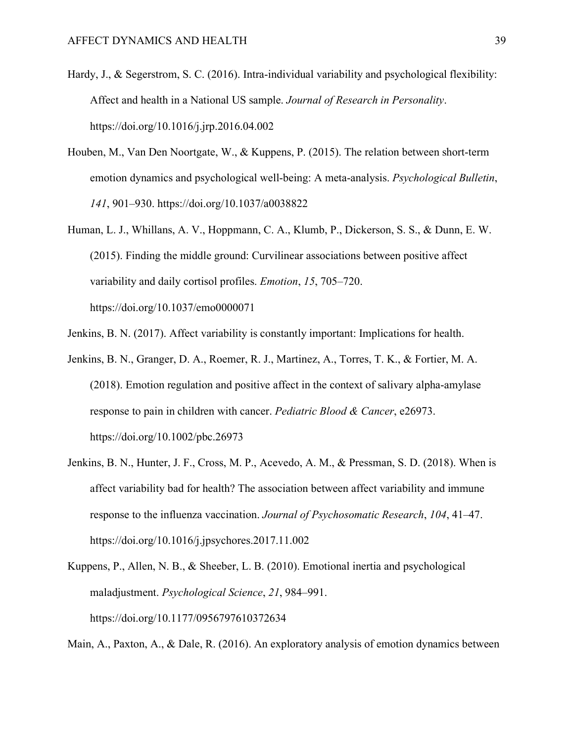- Hardy, J., & Segerstrom, S. C. (2016). Intra-individual variability and psychological flexibility: Affect and health in a National US sample. *Journal of Research in Personality*. https://doi.org/10.1016/j.jrp.2016.04.002
- Houben, M., Van Den Noortgate, W., & Kuppens, P. (2015). The relation between short-term emotion dynamics and psychological well-being: A meta-analysis. *Psychological Bulletin*, *141*, 901–930. https://doi.org/10.1037/a0038822
- Human, L. J., Whillans, A. V., Hoppmann, C. A., Klumb, P., Dickerson, S. S., & Dunn, E. W. (2015). Finding the middle ground: Curvilinear associations between positive affect variability and daily cortisol profiles. *Emotion*, *15*, 705–720. https://doi.org/10.1037/emo0000071
- Jenkins, B. N. (2017). Affect variability is constantly important: Implications for health.
- Jenkins, B. N., Granger, D. A., Roemer, R. J., Martinez, A., Torres, T. K., & Fortier, M. A. (2018). Emotion regulation and positive affect in the context of salivary alpha-amylase response to pain in children with cancer. *Pediatric Blood & Cancer*, e26973. https://doi.org/10.1002/pbc.26973
- Jenkins, B. N., Hunter, J. F., Cross, M. P., Acevedo, A. M., & Pressman, S. D. (2018). When is affect variability bad for health? The association between affect variability and immune response to the influenza vaccination. *Journal of Psychosomatic Research*, *104*, 41–47. https://doi.org/10.1016/j.jpsychores.2017.11.002
- Kuppens, P., Allen, N. B., & Sheeber, L. B. (2010). Emotional inertia and psychological maladjustment. *Psychological Science*, *21*, 984–991. https://doi.org/10.1177/0956797610372634

Main, A., Paxton, A., & Dale, R. (2016). An exploratory analysis of emotion dynamics between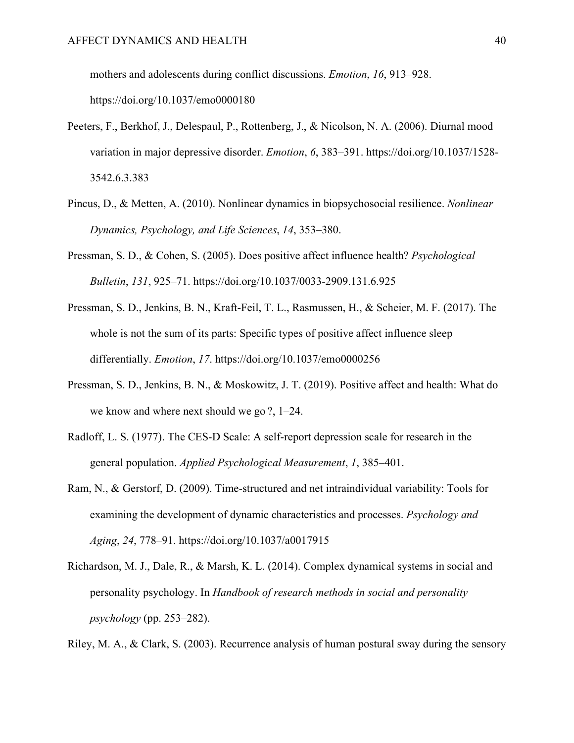mothers and adolescents during conflict discussions. *Emotion*, *16*, 913–928.

https://doi.org/10.1037/emo0000180

- Peeters, F., Berkhof, J., Delespaul, P., Rottenberg, J., & Nicolson, N. A. (2006). Diurnal mood variation in major depressive disorder. *Emotion*, *6*, 383–391. https://doi.org/10.1037/1528- 3542.6.3.383
- Pincus, D., & Metten, A. (2010). Nonlinear dynamics in biopsychosocial resilience. *Nonlinear Dynamics, Psychology, and Life Sciences*, *14*, 353–380.
- Pressman, S. D., & Cohen, S. (2005). Does positive affect influence health? *Psychological Bulletin*, *131*, 925–71. https://doi.org/10.1037/0033-2909.131.6.925
- Pressman, S. D., Jenkins, B. N., Kraft-Feil, T. L., Rasmussen, H., & Scheier, M. F. (2017). The whole is not the sum of its parts: Specific types of positive affect influence sleep differentially. *Emotion*, *17*. https://doi.org/10.1037/emo0000256
- Pressman, S. D., Jenkins, B. N., & Moskowitz, J. T. (2019). Positive affect and health: What do we know and where next should we go ?, 1–24.
- Radloff, L. S. (1977). The CES-D Scale: A self-report depression scale for research in the general population. *Applied Psychological Measurement*, *1*, 385–401.
- Ram, N., & Gerstorf, D. (2009). Time-structured and net intraindividual variability: Tools for examining the development of dynamic characteristics and processes. *Psychology and Aging*, *24*, 778–91. https://doi.org/10.1037/a0017915
- Richardson, M. J., Dale, R., & Marsh, K. L. (2014). Complex dynamical systems in social and personality psychology. In *Handbook of research methods in social and personality psychology* (pp. 253–282).

Riley, M. A., & Clark, S. (2003). Recurrence analysis of human postural sway during the sensory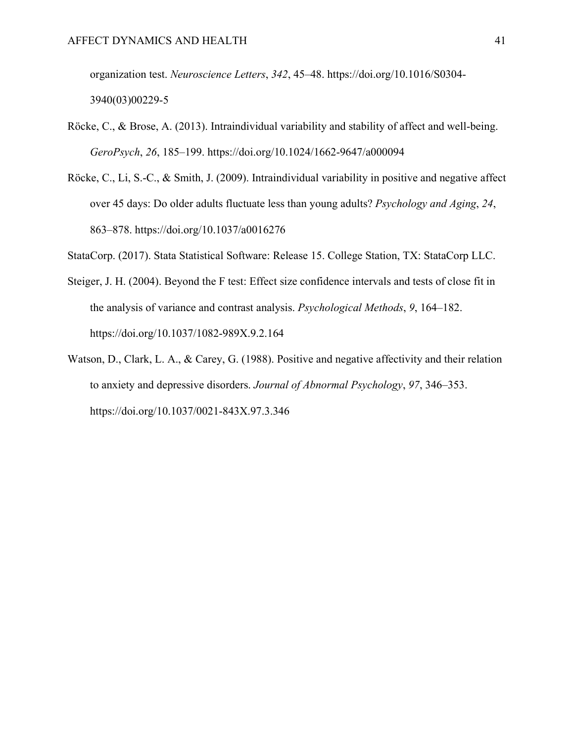organization test. *Neuroscience Letters*, *342*, 45–48. https://doi.org/10.1016/S0304- 3940(03)00229-5

- Röcke, C., & Brose, A. (2013). Intraindividual variability and stability of affect and well-being. *GeroPsych*, *26*, 185–199. https://doi.org/10.1024/1662-9647/a000094
- Röcke, C., Li, S.-C., & Smith, J. (2009). Intraindividual variability in positive and negative affect over 45 days: Do older adults fluctuate less than young adults? *Psychology and Aging*, *24*, 863–878. https://doi.org/10.1037/a0016276

StataCorp. (2017). Stata Statistical Software: Release 15. College Station, TX: StataCorp LLC.

- Steiger, J. H. (2004). Beyond the F test: Effect size confidence intervals and tests of close fit in the analysis of variance and contrast analysis. *Psychological Methods*, *9*, 164–182. https://doi.org/10.1037/1082-989X.9.2.164
- Watson, D., Clark, L. A., & Carey, G. (1988). Positive and negative affectivity and their relation to anxiety and depressive disorders. *Journal of Abnormal Psychology*, *97*, 346–353. https://doi.org/10.1037/0021-843X.97.3.346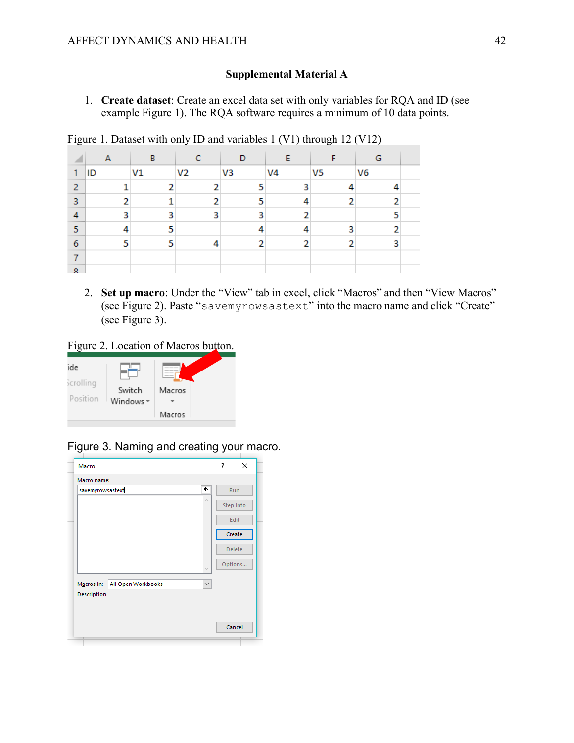### **Supplemental Material A**

1. **Create dataset**: Create an excel data set with only variables for RQA and ID (see example Figure 1). The RQA software requires a minimum of 10 data points.

Figure 1. Dataset with only ID and variables 1 (V1) through 12 (V12)

|   | А  | В              |                | D  |                |                | G              |  |
|---|----|----------------|----------------|----|----------------|----------------|----------------|--|
| 1 | ID | V <sub>1</sub> | V <sub>2</sub> | V3 | V <sub>4</sub> | V <sub>5</sub> | V <sub>6</sub> |  |
| 2 |    |                |                | 5  | ٩              |                |                |  |
| 3 | n  | 1              |                | 5  |                | n              |                |  |
| 4 | 3  | 3              | 3              | 3  |                |                | 5              |  |
| 5 |    | 5              |                |    |                | ٩              |                |  |
| 6 | c  | 5              |                | n  |                |                | 3              |  |
|   |    |                |                |    |                |                |                |  |
| Q |    |                |                |    |                |                |                |  |

2. **Set up macro**: Under the "View" tab in excel, click "Macros" and then "View Macros" (see Figure 2). Paste "savemyrowsastext" into the macro name and click "Create" (see Figure 3).

# Figure 2. Location of Macros button.



# Figure 3. Naming and creating your macro.

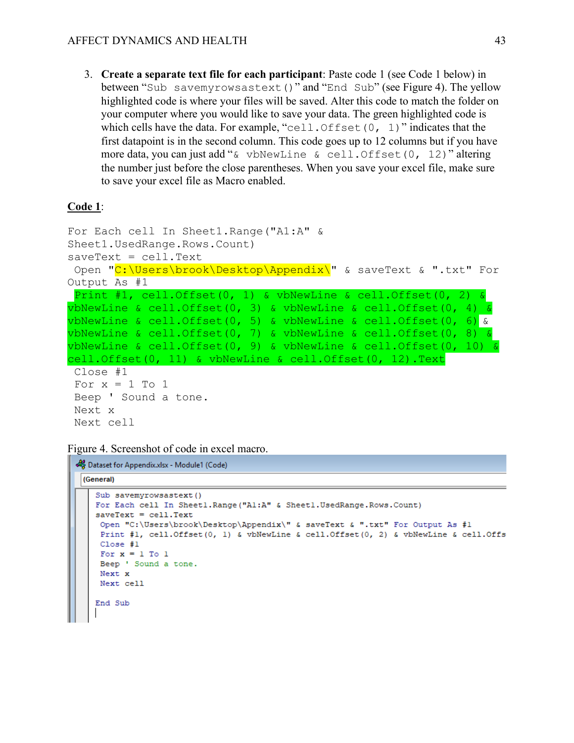3. **Create a separate text file for each participant**: Paste code 1 (see Code 1 below) in between "Sub savemyrowsastext()" and "End Sub" (see Figure 4). The yellow highlighted code is where your files will be saved. Alter this code to match the folder on your computer where you would like to save your data. The green highlighted code is which cells have the data. For example, "cell. Offset  $(0, 1)$ " indicates that the first datapoint is in the second column. This code goes up to 12 columns but if you have more data, you can just add "& vbNewLine & cell.Offset(0, 12)" altering the number just before the close parentheses. When you save your excel file, make sure to save your excel file as Macro enabled.

#### **Code 1**:

```
For Each cell In Sheet1.Range("A1:A" & 
Sheet1.UsedRange.Rows.Count)
saveText = cell.Text
Open "C:\Users\brook\Desktop\Appendix\" & saveText & ".txt" For 
Output As #1
Print #1, cell.Offset(0, 1) & vbNewLine & cell.Offset(0, 2) & 
vbNewLine & cell.Offset(0, 3) & vbNewLine & cell.Offset(0, 4) & 
vbNewLine & cell. Offset (0, 5) & vbNewLine & cell. Offset (0, 6) &
vbNewLine & cell. Offset (0, 7) & vbNewLine & cell. Offset (0, 8) &
vbNewLine & cell.Offset(0, 9) & vbNewLine & cell.Offset(0, 10) &
cell.Offset(0, 11) & vbNewLine & cell.Offset(0, 12).Text
Close #1
For x = 1 To 1
Beep ' Sound a tone.
Next x
Next cell
```
Figure 4. Screenshot of code in excel macro.

```
Dataset for Appendix.xlsx - Module1 (Code)
 (General)
    Sub savemyrowsastext()
    For Each cell In Sheetl. Range ("Al:A" & Sheetl. UsedRange. Rows. Count)
    saveText = cell.FextOpen "C:\Users\brook\Desktop\Appendix\" & saveText & ".txt" For Output As #1
     Print #1, cell.Offset(0, 1) & vbNewLine & cell.Offset(0, 2) & vbNewLine & cell.Offs
     Close #1
     For x = 1 To 1
     Beep ' Sound a tone.
     Next x
     Next cell
    End Sub
```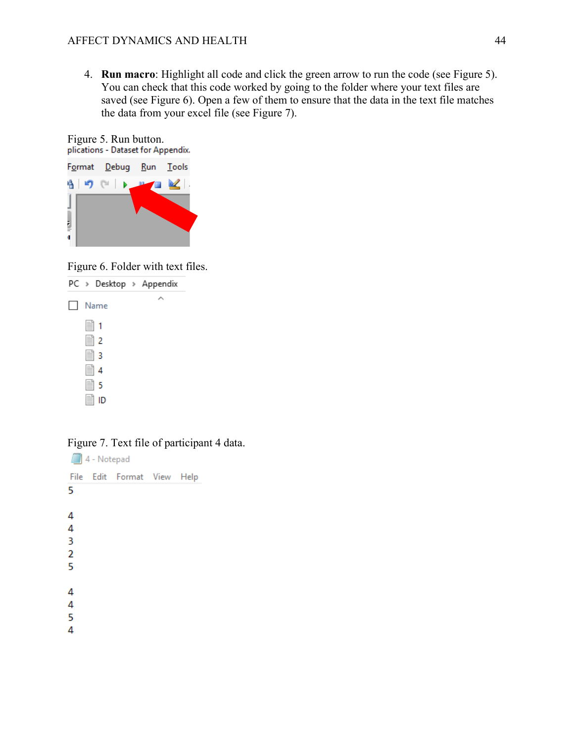4. **Run macro**: Highlight all code and click the green arrow to run the code (see Figure 5). You can check that this code worked by going to the folder where your text files are saved (see Figure 6). Open a few of them to ensure that the data in the text file matches the data from your excel file (see Figure 7).





Figure 6. Folder with text files.



Figure 7. Text file of participant 4 data.

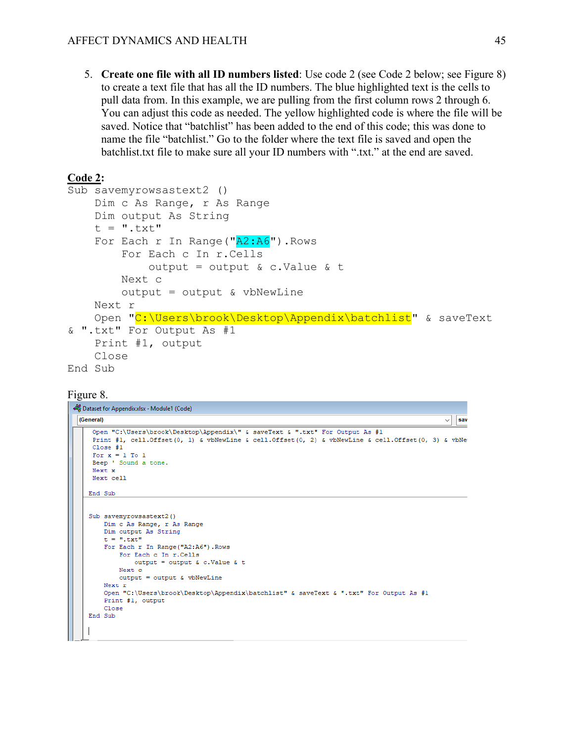5. **Create one file with all ID numbers listed**: Use code 2 (see Code 2 below; see Figure 8) to create a text file that has all the ID numbers. The blue highlighted text is the cells to pull data from. In this example, we are pulling from the first column rows 2 through 6. You can adjust this code as needed. The yellow highlighted code is where the file will be saved. Notice that "batchlist" has been added to the end of this code; this was done to name the file "batchlist." Go to the folder where the text file is saved and open the batchlist.txt file to make sure all your ID numbers with ".txt." at the end are saved.

### **Code 2:**

```
Sub savemyrowsastext2 ()
     Dim c As Range, r As Range
     Dim output As String
    t = ".txt"For Each r In Range (N_A2:A6"). Rows
         For Each c In r.Cells
            output = output \&c. Value \&c t
         Next c
        output = output & vblewLine Next r
     Open "C:\Users\brook\Desktop\Appendix\batchlist" & saveText 
& ".txt" For Output As #1
     Print #1, output
     Close
End Sub
```
#### Figure 8.

```
Dataset for Appendix.xlsx - Module1 (Code)
 (General)
                                                                                                         sav
                                                                                                      \checkmarkOpen "C:\Users\brook\Desktop\Appendix\" & saveText & ".txt" For Output As #1
     Print #1, cell.Offset(0, 1) & vbNewLine & cell.Offset(0, 2) & vbNewLine & cell.Offset(0, 3) & vbNew
     Close #1
     For x = 1 To 1
     Beep ' Sound a tone.
     Next x
     Next cell
    End Sub
    Sub savemyrowsastext2()
       Dim c As Range, r As Range
        Dim output As String
        t = ".txt"For Each r In Range ("A2:A6") . Rows
            For Each c In r.Cells
               output = output & c.Value & t
            Next c
            output = output & vbNewLine
        Next r
        Open "C:\Users\brook\Desktop\Appendix\batchlist" & saveText & ".txt" For Output As #1
        Print #1, output
        Close
    End Sub
```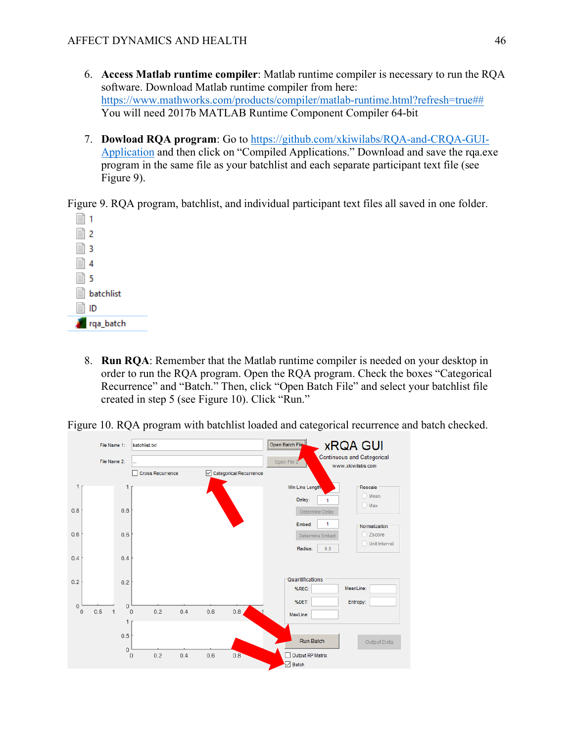- 6. **Access Matlab runtime compiler**: Matlab runtime compiler is necessary to run the RQA software. Download Matlab runtime compiler from here: [https://www.mathworks.com/products/compiler/matlab-runtime.html?refresh=true##](https://www.mathworks.com/products/compiler/matlab-runtime.html?refresh=true) You will need 2017b MATLAB Runtime Component Compiler 64-bit
- 7. **Dowload RQA program**: Go to [https://github.com/xkiwilabs/RQA-and-CRQA-GUI-](https://urldefense.proofpoint.com/v2/url?u=https-3A__github.com_xkiwilabs_RQA-2Dand-2DCRQA-2DGUI-2DApplication&d=DwMGaQ&c=TwQYWVcq0sGbkW5mKeqBpQ&r=ErY1tLPFB4Sar0yejEorFeKM6LdW0ewLec47doE4wp8&m=lqDV6DtG0dse3iKG3KKVOO-FoJeKPUDxsjHld-EtOrQ&s=hOU9ZVamYJxcWw6WM2mbzlja_m2DGE-xmJOqKT7-Nvw&e=)[Application](https://urldefense.proofpoint.com/v2/url?u=https-3A__github.com_xkiwilabs_RQA-2Dand-2DCRQA-2DGUI-2DApplication&d=DwMGaQ&c=TwQYWVcq0sGbkW5mKeqBpQ&r=ErY1tLPFB4Sar0yejEorFeKM6LdW0ewLec47doE4wp8&m=lqDV6DtG0dse3iKG3KKVOO-FoJeKPUDxsjHld-EtOrQ&s=hOU9ZVamYJxcWw6WM2mbzlja_m2DGE-xmJOqKT7-Nvw&e=) and then click on "Compiled Applications." Download and save the rqa.exe program in the same file as your batchlist and each separate participant text file (see Figure 9).

Figure 9. RQA program, batchlist, and individual participant text files all saved in one folder.



8. **Run RQA**: Remember that the Matlab runtime compiler is needed on your desktop in order to run the RQA program. Open the RQA program. Check the boxes "Categorical Recurrence" and "Batch." Then, click "Open Batch File" and select your batchlist file created in step 5 (see Figure 10). Click "Run."

Figure 10. RQA program with batchlist loaded and categorical recurrence and batch checked.

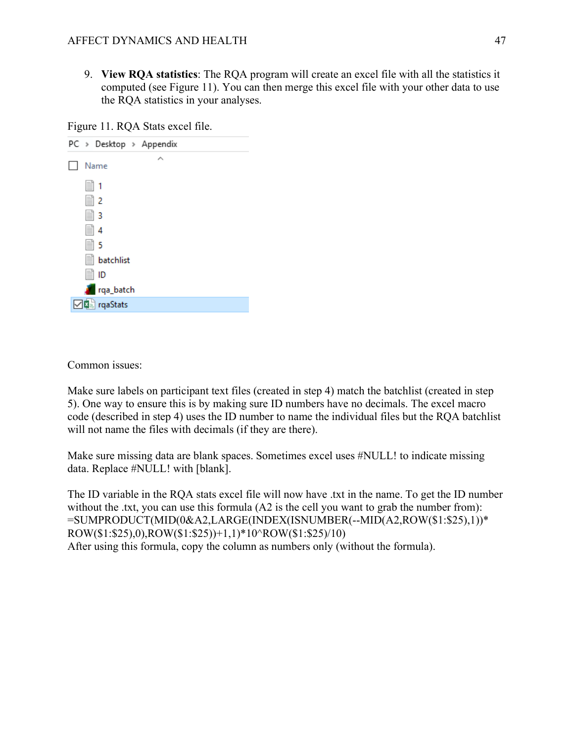9. **View RQA statistics**: The RQA program will create an excel file with all the statistics it computed (see Figure 11). You can then merge this excel file with your other data to use the RQA statistics in your analyses.

Figure 11. RQA Stats excel file.

| PC > Desktop > Appendix |
|-------------------------|
| Name                    |
| $\equiv$ 1              |
| 圖 2                     |
| ≣  3                    |
| § 4                     |
| ≣ 5                     |
| <b>Solutional</b>       |
| l≣ ID                   |
| rqa_batch               |
| <b>□□</b> a rqaStats    |
|                         |

Common issues:

Make sure labels on participant text files (created in step 4) match the batchlist (created in step 5). One way to ensure this is by making sure ID numbers have no decimals. The excel macro code (described in step 4) uses the ID number to name the individual files but the RQA batchlist will not name the files with decimals (if they are there).

Make sure missing data are blank spaces. Sometimes excel uses #NULL! to indicate missing data. Replace #NULL! with [blank].

The ID variable in the RQA stats excel file will now have .txt in the name. To get the ID number without the .txt, you can use this formula (A2 is the cell you want to grab the number from): =SUMPRODUCT(MID(0&A2,LARGE(INDEX(ISNUMBER(--MID(A2,ROW(\$1:\$25),1))\* ROW(\$1:\$25),0),ROW(\$1:\$25))+1,1)\*10^ROW(\$1:\$25)/10) After using this formula, copy the column as numbers only (without the formula).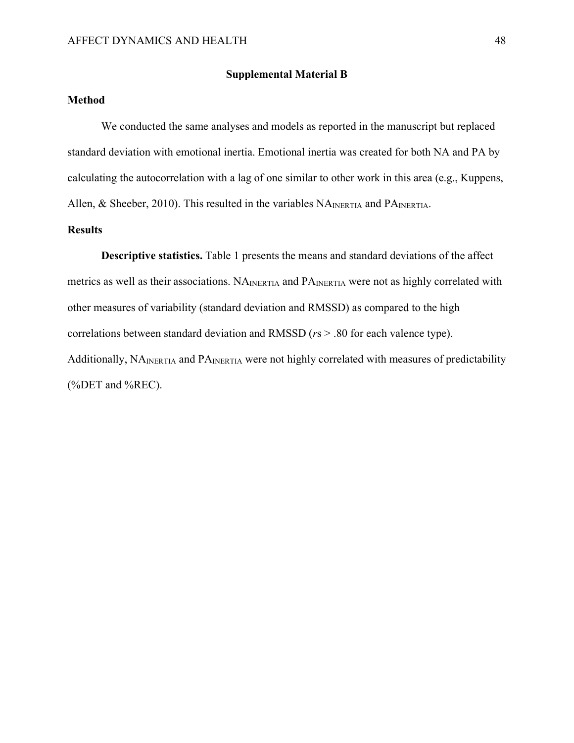#### **Supplemental Material B**

### **Method**

We conducted the same analyses and models as reported in the manuscript but replaced standard deviation with emotional inertia. Emotional inertia was created for both NA and PA by calculating the autocorrelation with a lag of one similar to other work in this area (e.g., Kuppens, Allen, & Sheeber, 2010). This resulted in the variables  $NA<sub>INERTIA</sub>$  and  $PA<sub>INERTIA</sub>$ .

#### **Results**

**Descriptive statistics.** Table 1 presents the means and standard deviations of the affect metrics as well as their associations. NAINERTIA and PAINERTIA were not as highly correlated with other measures of variability (standard deviation and RMSSD) as compared to the high correlations between standard deviation and RMSSD (*r*s > .80 for each valence type). Additionally, NA<sub>INERTIA</sub> and PA<sub>INERTIA</sub> were not highly correlated with measures of predictability (%DET and %REC).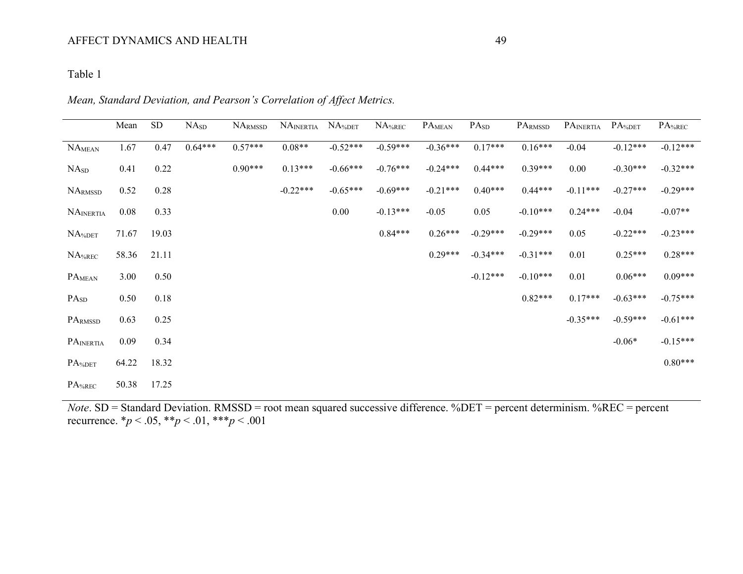# Table 1

|                    | Mean  | <b>SD</b> | NA <sub>SD</sub> | NARMSSD   | NAINERTIA  | $NA^6DET$  | $NA$ %REC  | PA <sub>MEAN</sub> | PA <sub>SD</sub> | PARMSSD    | PAINERTIA  | PA <sub>%DET</sub> | PA <sub>%REC</sub> |
|--------------------|-------|-----------|------------------|-----------|------------|------------|------------|--------------------|------------------|------------|------------|--------------------|--------------------|
| NA <sub>MEAN</sub> | 1.67  | 0.47      | $0.64***$        | $0.57***$ | $0.08**$   | $-0.52***$ | $-0.59***$ | $-0.36***$         | $0.17***$        | $0.16***$  | $-0.04$    | $-0.12***$         | $-0.12***$         |
| NA <sub>SD</sub>   | 0.41  | 0.22      |                  | $0.90***$ | $0.13***$  | $-0.66***$ | $-0.76***$ | $-0.24***$         | $0.44***$        | $0.39***$  | 0.00       | $-0.30***$         | $-0.32***$         |
| <b>NARMSSD</b>     | 0.52  | 0.28      |                  |           | $-0.22***$ | $-0.65***$ | $-0.69***$ | $-0.21***$         | $0.40***$        | $0.44***$  | $-0.11***$ | $-0.27***$         | $-0.29***$         |
| <b>NAINERTIA</b>   | 0.08  | 0.33      |                  |           |            | 0.00       | $-0.13***$ | $-0.05$            | 0.05             | $-0.10***$ | $0.24***$  | $-0.04$            | $-0.07**$          |
| NA%DET             | 71.67 | 19.03     |                  |           |            |            | $0.84***$  | $0.26***$          | $-0.29***$       | $-0.29***$ | 0.05       | $-0.22***$         | $-0.23***$         |
| $NA$ %REC          | 58.36 | 21.11     |                  |           |            |            |            | $0.29***$          | $-0.34***$       | $-0.31***$ | 0.01       | $0.25***$          | $0.28***$          |
| PA <sub>MEAN</sub> | 3.00  | 0.50      |                  |           |            |            |            |                    | $-0.12***$       | $-0.10***$ | 0.01       | $0.06***$          | $0.09***$          |
| PA <sub>SD</sub>   | 0.50  | 0.18      |                  |           |            |            |            |                    |                  | $0.82***$  | $0.17***$  | $-0.63***$         | $-0.75***$         |
| PARMSSD            | 0.63  | 0.25      |                  |           |            |            |            |                    |                  |            | $-0.35***$ | $-0.59***$         | $-0.61***$         |
| PAINERTIA          | 0.09  | 0.34      |                  |           |            |            |            |                    |                  |            |            | $-0.06*$           | $-0.15***$         |
| PA%DET             | 64.22 | 18.32     |                  |           |            |            |            |                    |                  |            |            |                    | $0.80***$          |
| $PA_{%REC}$        | 50.38 | 17.25     |                  |           |            |            |            |                    |                  |            |            |                    |                    |

*Note*. SD = Standard Deviation. RMSSD = root mean squared successive difference. %DET = percent determinism. %REC = percent recurrence. \**p* < .05, \*\**p* < .01, \*\*\**p* < .001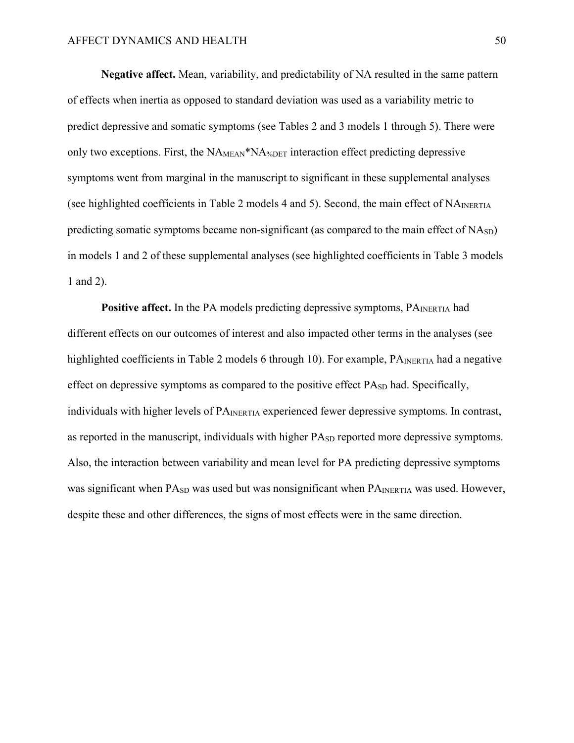**Negative affect.** Mean, variability, and predictability of NA resulted in the same pattern of effects when inertia as opposed to standard deviation was used as a variability metric to predict depressive and somatic symptoms (see Tables 2 and 3 models 1 through 5). There were only two exceptions. First, the NA<sub>MEAN</sub>\*NA<sub>%DET</sub> interaction effect predicting depressive symptoms went from marginal in the manuscript to significant in these supplemental analyses (see highlighted coefficients in Table 2 models 4 and 5). Second, the main effect of  $NA<sub>INERTIA</sub>$ predicting somatic symptoms became non-significant (as compared to the main effect of  $N(A_{SD})$ ) in models 1 and 2 of these supplemental analyses (see highlighted coefficients in Table 3 models 1 and 2).

**Positive affect.** In the PA models predicting depressive symptoms, PA<sub>INERTIA</sub> had different effects on our outcomes of interest and also impacted other terms in the analyses (see highlighted coefficients in Table 2 models 6 through 10). For example,  $PA<sub>INERTIA</sub>$  had a negative effect on depressive symptoms as compared to the positive effect  $PA<sub>SD</sub>$  had. Specifically, individuals with higher levels of PA<sub>INERTIA</sub> experienced fewer depressive symptoms. In contrast, as reported in the manuscript, individuals with higher PA<sub>SD</sub> reported more depressive symptoms. Also, the interaction between variability and mean level for PA predicting depressive symptoms was significant when  $PA_{SD}$  was used but was nonsignificant when  $PA_{INERTIA}$  was used. However, despite these and other differences, the signs of most effects were in the same direction.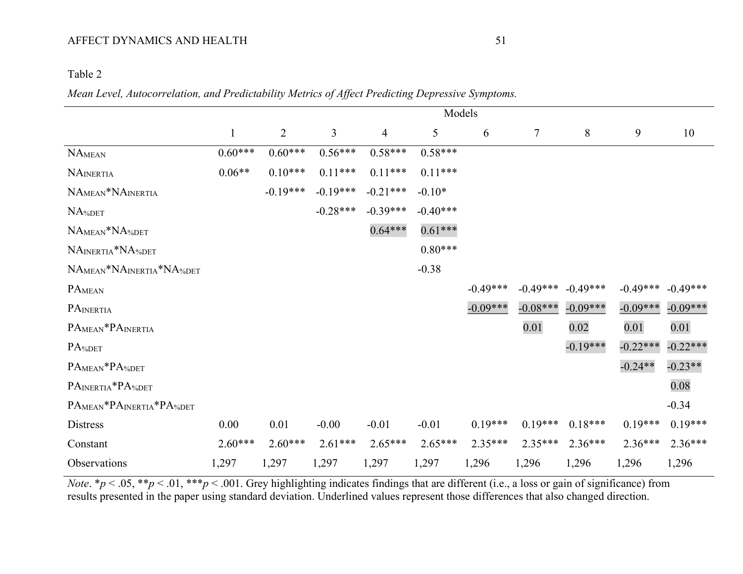# Table 2

# *Mean Level, Autocorrelation, and Predictability Metrics of Affect Predicting Depressive Symptoms.*

|                         |              |                |                |            |            | Models     |            |            |            |            |
|-------------------------|--------------|----------------|----------------|------------|------------|------------|------------|------------|------------|------------|
|                         | $\mathbf{1}$ | $\overline{2}$ | $\overline{3}$ | 4          | 5          | 6          | $\tau$     | $8\,$      | 9          | 10         |
| <b>NAMEAN</b>           | $0.60***$    | $0.60***$      | $0.56***$      | $0.58***$  | $0.58***$  |            |            |            |            |            |
| NAINERTIA               | $0.06**$     | $0.10***$      | $0.11***$      | $0.11***$  | $0.11***$  |            |            |            |            |            |
| NAMEAN*NAINERTIA        |              | $-0.19***$     | $-0.19***$     | $-0.21***$ | $-0.10*$   |            |            |            |            |            |
| NA%DET                  |              |                | $-0.28***$     | $-0.39***$ | $-0.40***$ |            |            |            |            |            |
| NAMEAN*NA%DET           |              |                |                | $0.64***$  | $0.61***$  |            |            |            |            |            |
| NAINERTIA*NA%DET        |              |                |                |            | $0.80***$  |            |            |            |            |            |
| NAMEAN*NAINERTIA*NA%DET |              |                |                |            | $-0.38$    |            |            |            |            |            |
| PAMEAN                  |              |                |                |            |            | $-0.49***$ | $-0.49***$ | $-0.49***$ | $-0.49***$ | $-0.49***$ |
| PAINERTIA               |              |                |                |            |            | $-0.09***$ | $-0.08***$ | $-0.09***$ | $-0.09***$ | $-0.09***$ |
| PAMEAN*PAINERTIA        |              |                |                |            |            |            | 0.01       | 0.02       | 0.01       | 0.01       |
| PA%DET                  |              |                |                |            |            |            |            | $-0.19***$ | $-0.22***$ | $-0.22***$ |
| PAMEAN*PA%DET           |              |                |                |            |            |            |            |            | $-0.24**$  | $-0.23**$  |
| PAINERTIA*PA%DET        |              |                |                |            |            |            |            |            |            | 0.08       |
| PAMEAN*PAINERTIA*PA%DET |              |                |                |            |            |            |            |            |            | $-0.34$    |
| Distress                | 0.00         | 0.01           | $-0.00$        | $-0.01$    | $-0.01$    | $0.19***$  | $0.19***$  | $0.18***$  | $0.19***$  | $0.19***$  |
| Constant                | $2.60***$    | $2.60***$      | $2.61***$      | $2.65***$  | $2.65***$  | $2.35***$  | $2.35***$  | $2.36***$  | $2.36***$  | $2.36***$  |
| Observations            | 1,297        | 1,297          | 1,297          | 1,297      | 1,297      | 1,296      | 1,296      | 1,296      | 1,296      | 1,296      |

*Note*. \**p* < .05, \*\**p* < .01, \*\*\**p* < .001. Grey highlighting indicates findings that are different (i.e., a loss or gain of significance) from results presented in the paper using standard deviation. Underlined values represent those differences that also changed direction.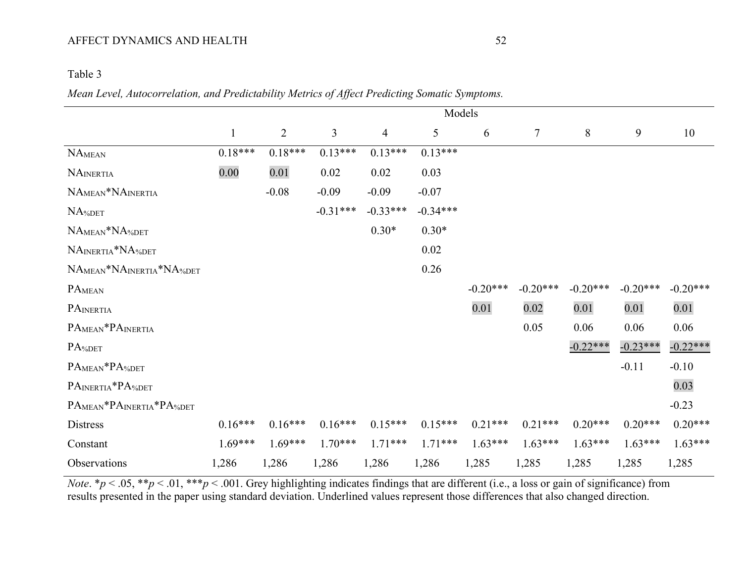# Table 3

## *Mean Level, Autocorrelation, and Predictability Metrics of Affect Predicting Somatic Symptoms.*

|                         |              |                |                |                |            | Models     |            |            |            |            |
|-------------------------|--------------|----------------|----------------|----------------|------------|------------|------------|------------|------------|------------|
|                         | $\mathbf{1}$ | $\overline{2}$ | $\overline{3}$ | $\overline{4}$ | 5          | 6          | $\tau$     | 8          | 9          | 10         |
| <b>NAMEAN</b>           | $0.18***$    | $0.18***$      | $0.13***$      | $0.13***$      | $0.13***$  |            |            |            |            |            |
| <b>NAINERTIA</b>        | 0.00         | 0.01           | 0.02           | 0.02           | 0.03       |            |            |            |            |            |
| NAMEAN*NAINERTIA        |              | $-0.08$        | $-0.09$        | $-0.09$        | $-0.07$    |            |            |            |            |            |
| NA%DET                  |              |                | $-0.31***$     | $-0.33***$     | $-0.34***$ |            |            |            |            |            |
| NAMEAN*NA%DET           |              |                |                | $0.30*$        | $0.30*$    |            |            |            |            |            |
| NAINERTIA*NA%DET        |              |                |                |                | 0.02       |            |            |            |            |            |
| NAMEAN*NAINERTIA*NA%DET |              |                |                |                | 0.26       |            |            |            |            |            |
| PAMEAN                  |              |                |                |                |            | $-0.20***$ | $-0.20***$ | $-0.20***$ | $-0.20***$ | $-0.20***$ |
| PAINERTIA               |              |                |                |                |            | 0.01       | 0.02       | 0.01       | 0.01       | 0.01       |
| PAMEAN*PAINERTIA        |              |                |                |                |            |            | 0.05       | 0.06       | 0.06       | 0.06       |
| PA%DET                  |              |                |                |                |            |            |            | $-0.22***$ | $-0.23***$ | $-0.22***$ |
| PAMEAN*PA%DET           |              |                |                |                |            |            |            |            | $-0.11$    | $-0.10$    |
| PAINERTIA*PA%DET        |              |                |                |                |            |            |            |            |            | 0.03       |
| PAMEAN*PAINERTIA*PA%DET |              |                |                |                |            |            |            |            |            | $-0.23$    |
| Distress                | $0.16***$    | $0.16***$      | $0.16***$      | $0.15***$      | $0.15***$  | $0.21***$  | $0.21***$  | $0.20***$  | $0.20***$  | $0.20***$  |
| Constant                | $1.69***$    | $1.69***$      | $1.70***$      | $1.71***$      | $1.71***$  | $1.63***$  | $1.63***$  | $1.63***$  | $1.63***$  | $1.63***$  |
| Observations            | 1,286        | 1,286          | 1,286          | 1,286          | 1,286      | 1,285      | 1,285      | 1,285      | 1,285      | 1,285      |

*Note.*  $* p < .05$ ,  $* p < .01$ ,  $** p < .001$ . Grey highlighting indicates findings that are different (i.e., a loss or gain of significance) from results presented in the paper using standard deviation. Underlined values represent those differences that also changed direction.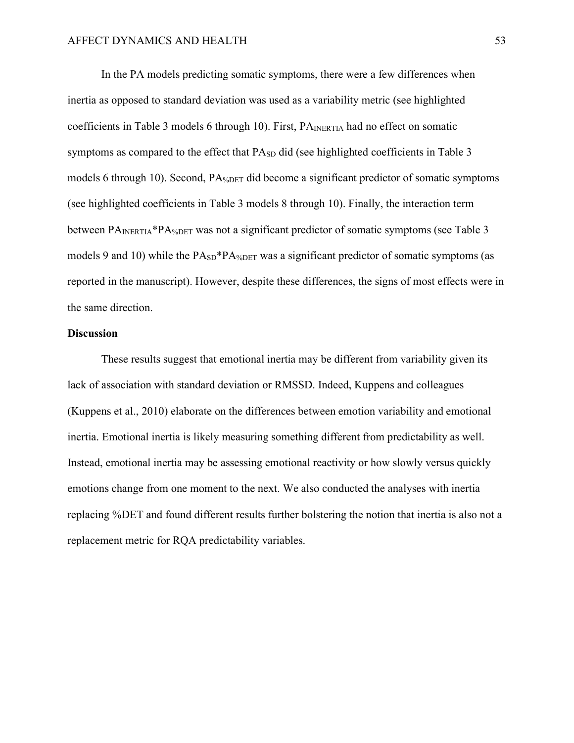In the PA models predicting somatic symptoms, there were a few differences when inertia as opposed to standard deviation was used as a variability metric (see highlighted coefficients in Table 3 models 6 through 10). First,  $PA_{INERTA}$  had no effect on somatic symptoms as compared to the effect that PA<sub>SD</sub> did (see highlighted coefficients in Table 3 models 6 through 10). Second, PA%DET did become a significant predictor of somatic symptoms (see highlighted coefficients in Table 3 models 8 through 10). Finally, the interaction term between PA<sub>INERTIA</sub>\*PA<sub>%DET</sub> was not a significant predictor of somatic symptoms (see Table 3 models 9 and 10) while the  $PA<sub>SD</sub> * PA<sub>%DET</sub>$  was a significant predictor of somatic symptoms (as reported in the manuscript). However, despite these differences, the signs of most effects were in the same direction.

#### **Discussion**

These results suggest that emotional inertia may be different from variability given its lack of association with standard deviation or RMSSD. Indeed, Kuppens and colleagues (Kuppens et al., 2010) elaborate on the differences between emotion variability and emotional inertia. Emotional inertia is likely measuring something different from predictability as well. Instead, emotional inertia may be assessing emotional reactivity or how slowly versus quickly emotions change from one moment to the next. We also conducted the analyses with inertia replacing %DET and found different results further bolstering the notion that inertia is also not a replacement metric for RQA predictability variables.